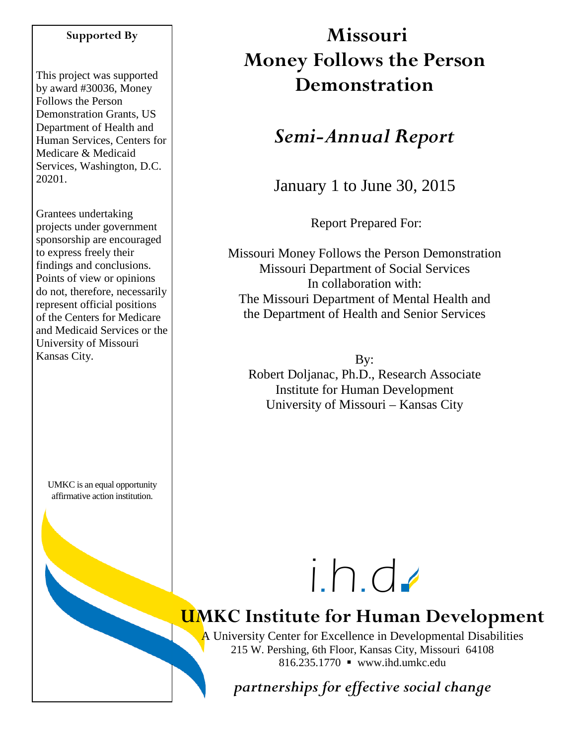## **Supported By**

This project was supported by award #30036, Money Follows the Person Demonstration Grants, US Department of Health and Human Services, Centers for Medicare & Medicaid Services, Washington, D.C. 20201.

Grantees undertaking projects under government sponsorship are encouraged to express freely their findings and conclusions. Points of view or opinions do not, therefore, necessarily represent official positions of the Centers for Medicare and Medicaid Services or the University of Missouri Kansas City.

UMKC is an equal opportunity affirmative action institution.

# **Missouri Money Follows the Person Demonstration**

## *Semi-Annual Report*

January 1 to June 30, 2015

Report Prepared For:

Missouri Money Follows the Person Demonstration Missouri Department of Social Services In collaboration with: The Missouri Department of Mental Health and the Department of Health and Senior Services

By: Robert Doljanac, Ph.D., Research Associate Institute for Human Development University of Missouri – Kansas City



# **UMKC Institute for Human Development**

A University Center for Excellence in Developmental Disabilities 215 W. Pershing, 6th Floor, Kansas City, Missouri 64108 816.235.1770 www.ihd.umkc.edu

*partnerships for effective social change*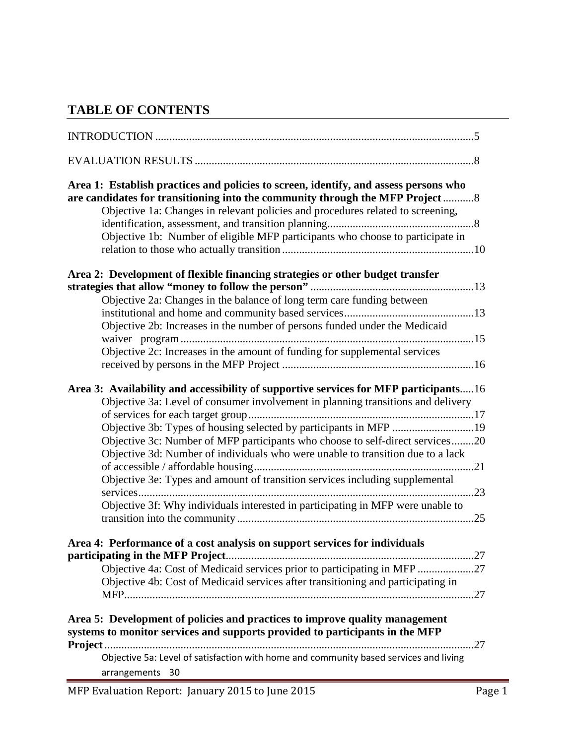## **TABLE OF CONTENTS**

| Area 1: Establish practices and policies to screen, identify, and assess persons who<br>are candidates for transitioning into the community through the MFP Project8<br>Objective 1a: Changes in relevant policies and procedures related to screening,<br>Objective 1b: Number of eligible MFP participants who choose to participate in                                                                                                                                                                                                                                            |  |
|--------------------------------------------------------------------------------------------------------------------------------------------------------------------------------------------------------------------------------------------------------------------------------------------------------------------------------------------------------------------------------------------------------------------------------------------------------------------------------------------------------------------------------------------------------------------------------------|--|
| Area 2: Development of flexible financing strategies or other budget transfer                                                                                                                                                                                                                                                                                                                                                                                                                                                                                                        |  |
| Objective 2a: Changes in the balance of long term care funding between<br>Objective 2b: Increases in the number of persons funded under the Medicaid<br>Objective 2c: Increases in the amount of funding for supplemental services                                                                                                                                                                                                                                                                                                                                                   |  |
| Area 3: Availability and accessibility of supportive services for MFP participants16<br>Objective 3a: Level of consumer involvement in planning transitions and delivery<br>Objective 3b: Types of housing selected by participants in MFP 19<br>Objective 3c: Number of MFP participants who choose to self-direct services20<br>Objective 3d: Number of individuals who were unable to transition due to a lack<br>Objective 3e: Types and amount of transition services including supplemental<br>Objective 3f: Why individuals interested in participating in MFP were unable to |  |
| Area 4: Performance of a cost analysis on support services for individuals<br>Objective 4a: Cost of Medicaid services prior to participating in MFP 27<br>Objective 4b: Cost of Medicaid services after transitioning and participating in                                                                                                                                                                                                                                                                                                                                           |  |
| Area 5: Development of policies and practices to improve quality management<br>systems to monitor services and supports provided to participants in the MFP                                                                                                                                                                                                                                                                                                                                                                                                                          |  |
| Objective 5a: Level of satisfaction with home and community based services and living<br>arrangements 30                                                                                                                                                                                                                                                                                                                                                                                                                                                                             |  |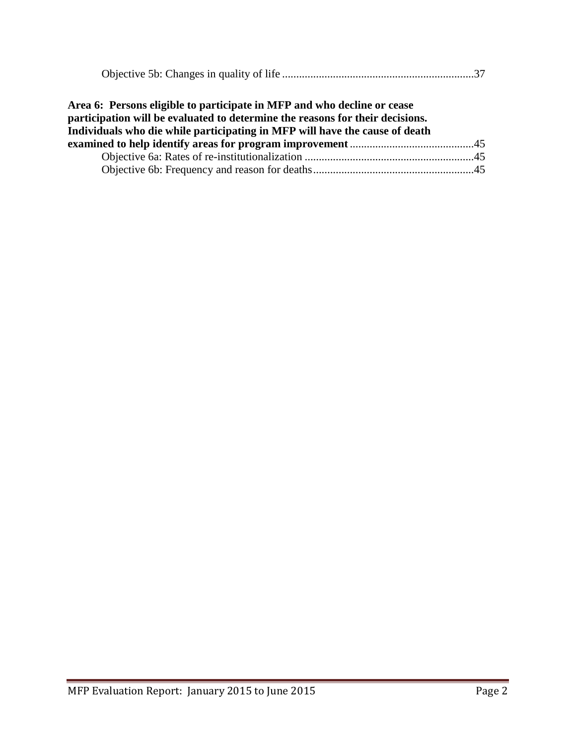| Area 6: Persons eligible to participate in MFP and who decline or cease<br>participation will be evaluated to determine the reasons for their decisions. |  |
|----------------------------------------------------------------------------------------------------------------------------------------------------------|--|
| Individuals who die while participating in MFP will have the cause of death                                                                              |  |
|                                                                                                                                                          |  |
|                                                                                                                                                          |  |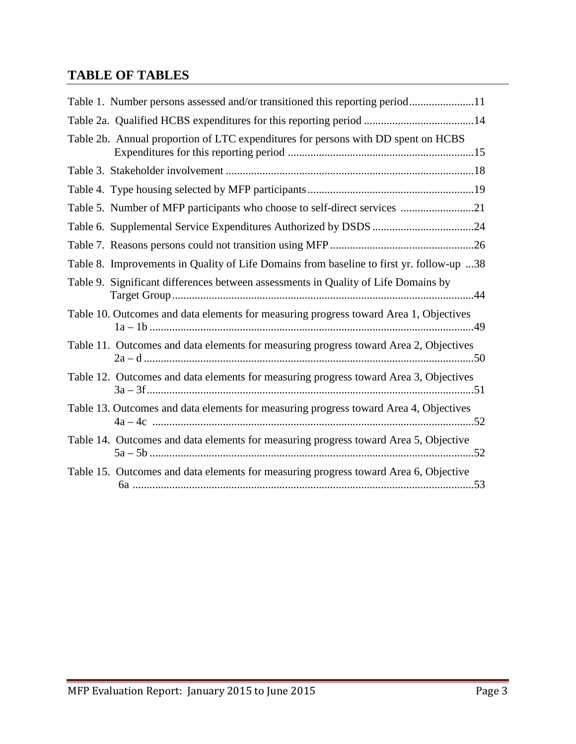## **TABLE OF TABLES**

| Table 1. Number persons assessed and/or transitioned this reporting period11             |
|------------------------------------------------------------------------------------------|
| Table 2a. Qualified HCBS expenditures for this reporting period 14                       |
| Table 2b. Annual proportion of LTC expenditures for persons with DD spent on HCBS        |
|                                                                                          |
|                                                                                          |
| Table 5. Number of MFP participants who choose to self-direct services 21                |
|                                                                                          |
|                                                                                          |
| Table 8. Improvements in Quality of Life Domains from baseline to first yr. follow-up 38 |
| Table 9. Significant differences between assessments in Quality of Life Domains by       |
| Table 10. Outcomes and data elements for measuring progress toward Area 1, Objectives    |
| Table 11. Outcomes and data elements for measuring progress toward Area 2, Objectives    |
| Table 12. Outcomes and data elements for measuring progress toward Area 3, Objectives    |
| Table 13. Outcomes and data elements for measuring progress toward Area 4, Objectives    |
| Table 14. Outcomes and data elements for measuring progress toward Area 5, Objective     |
| Table 15. Outcomes and data elements for measuring progress toward Area 6, Objective     |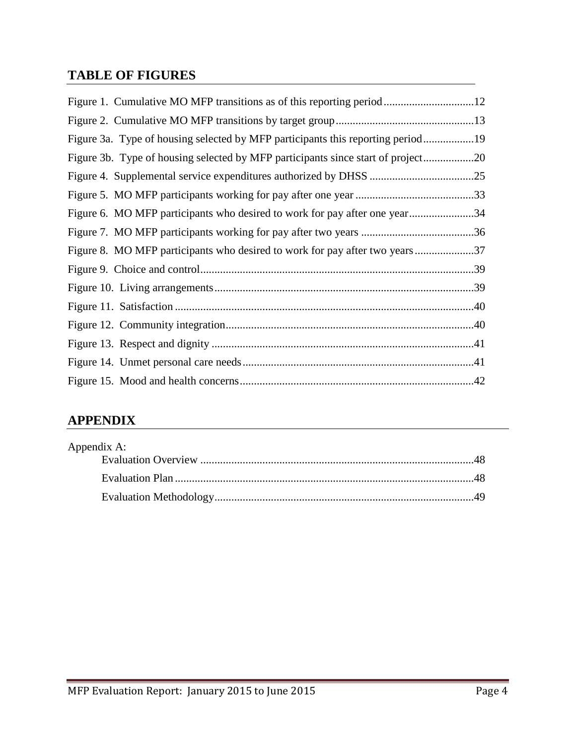## **TABLE OF FIGURES**

| Figure 1. Cumulative MO MFP transitions as of this reporting period12            |  |
|----------------------------------------------------------------------------------|--|
|                                                                                  |  |
| Figure 3a. Type of housing selected by MFP participants this reporting period19  |  |
| Figure 3b. Type of housing selected by MFP participants since start of project20 |  |
|                                                                                  |  |
|                                                                                  |  |
| Figure 6. MO MFP participants who desired to work for pay after one year34       |  |
|                                                                                  |  |
| Figure 8. MO MFP participants who desired to work for pay after two years37      |  |
|                                                                                  |  |
|                                                                                  |  |
|                                                                                  |  |
|                                                                                  |  |
|                                                                                  |  |
|                                                                                  |  |
|                                                                                  |  |

## **APPENDIX**

| Appendix A: |  |
|-------------|--|
|             |  |
|             |  |
|             |  |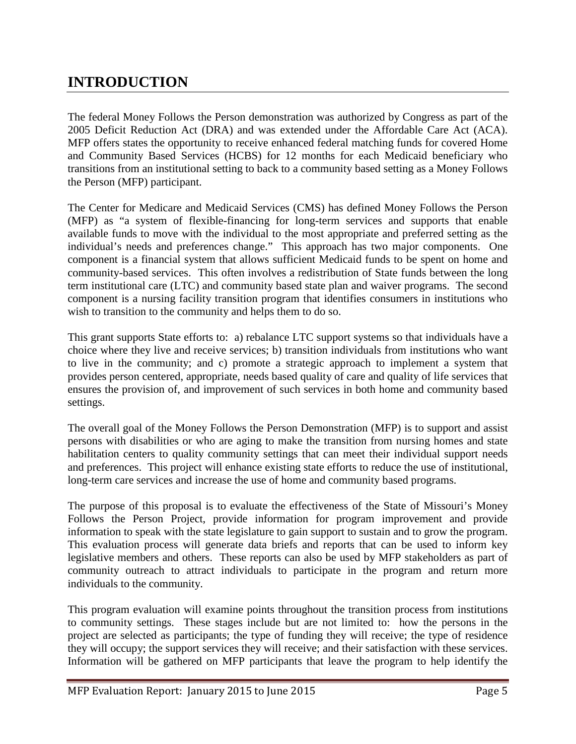## **INTRODUCTION**

The federal Money Follows the Person demonstration was authorized by Congress as part of the 2005 Deficit Reduction Act (DRA) and was extended under the Affordable Care Act (ACA). MFP offers states the opportunity to receive enhanced federal matching funds for covered Home and Community Based Services (HCBS) for 12 months for each Medicaid beneficiary who transitions from an institutional setting to back to a community based setting as a Money Follows the Person (MFP) participant.

The Center for Medicare and Medicaid Services (CMS) has defined Money Follows the Person (MFP) as "a system of flexible-financing for long-term services and supports that enable available funds to move with the individual to the most appropriate and preferred setting as the individual's needs and preferences change." This approach has two major components. One component is a financial system that allows sufficient Medicaid funds to be spent on home and community-based services. This often involves a redistribution of State funds between the long term institutional care (LTC) and community based state plan and waiver programs. The second component is a nursing facility transition program that identifies consumers in institutions who wish to transition to the community and helps them to do so.

This grant supports State efforts to: a) rebalance LTC support systems so that individuals have a choice where they live and receive services; b) transition individuals from institutions who want to live in the community; and c) promote a strategic approach to implement a system that provides person centered, appropriate, needs based quality of care and quality of life services that ensures the provision of, and improvement of such services in both home and community based settings.

The overall goal of the Money Follows the Person Demonstration (MFP) is to support and assist persons with disabilities or who are aging to make the transition from nursing homes and state habilitation centers to quality community settings that can meet their individual support needs and preferences. This project will enhance existing state efforts to reduce the use of institutional, long-term care services and increase the use of home and community based programs.

The purpose of this proposal is to evaluate the effectiveness of the State of Missouri's Money Follows the Person Project, provide information for program improvement and provide information to speak with the state legislature to gain support to sustain and to grow the program. This evaluation process will generate data briefs and reports that can be used to inform key legislative members and others. These reports can also be used by MFP stakeholders as part of community outreach to attract individuals to participate in the program and return more individuals to the community.

This program evaluation will examine points throughout the transition process from institutions to community settings. These stages include but are not limited to: how the persons in the project are selected as participants; the type of funding they will receive; the type of residence they will occupy; the support services they will receive; and their satisfaction with these services. Information will be gathered on MFP participants that leave the program to help identify the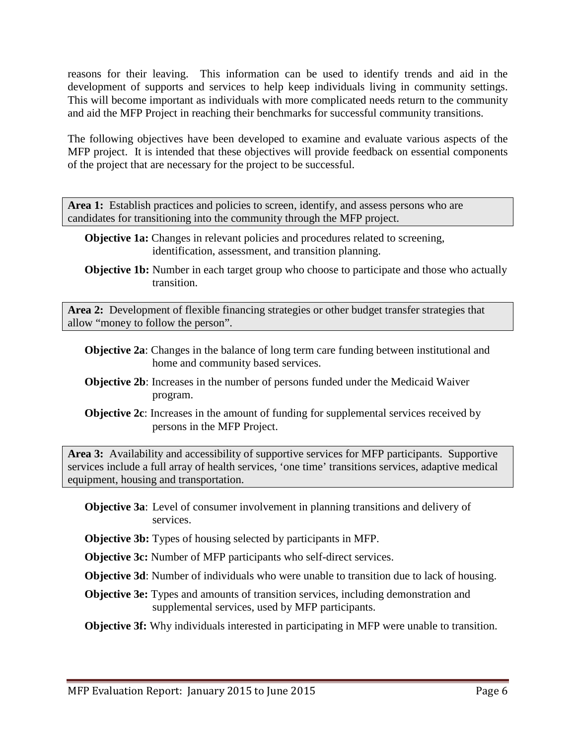reasons for their leaving. This information can be used to identify trends and aid in the development of supports and services to help keep individuals living in community settings. This will become important as individuals with more complicated needs return to the community and aid the MFP Project in reaching their benchmarks for successful community transitions.

The following objectives have been developed to examine and evaluate various aspects of the MFP project. It is intended that these objectives will provide feedback on essential components of the project that are necessary for the project to be successful.

Area 1: Establish practices and policies to screen, identify, and assess persons who are candidates for transitioning into the community through the MFP project.

- **Objective 1a:** Changes in relevant policies and procedures related to screening, identification, assessment, and transition planning.
- **Objective 1b:** Number in each target group who choose to participate and those who actually transition.

**Area 2:** Development of flexible financing strategies or other budget transfer strategies that allow "money to follow the person".

- **Objective 2a**: Changes in the balance of long term care funding between institutional and home and community based services.
- **Objective 2b**: Increases in the number of persons funded under the Medicaid Waiver program.
- **Objective 2c**: Increases in the amount of funding for supplemental services received by persons in the MFP Project.

**Area 3:** Availability and accessibility of supportive services for MFP participants. Supportive services include a full array of health services, 'one time' transitions services, adaptive medical equipment, housing and transportation.

- **Objective 3a**: Level of consumer involvement in planning transitions and delivery of services.
- **Objective 3b:** Types of housing selected by participants in MFP.

**Objective 3c:** Number of MFP participants who self-direct services.

**Objective 3d**: Number of individuals who were unable to transition due to lack of housing.

**Objective 3e:** Types and amounts of transition services, including demonstration and supplemental services, used by MFP participants.

**Objective 3f:** Why individuals interested in participating in MFP were unable to transition.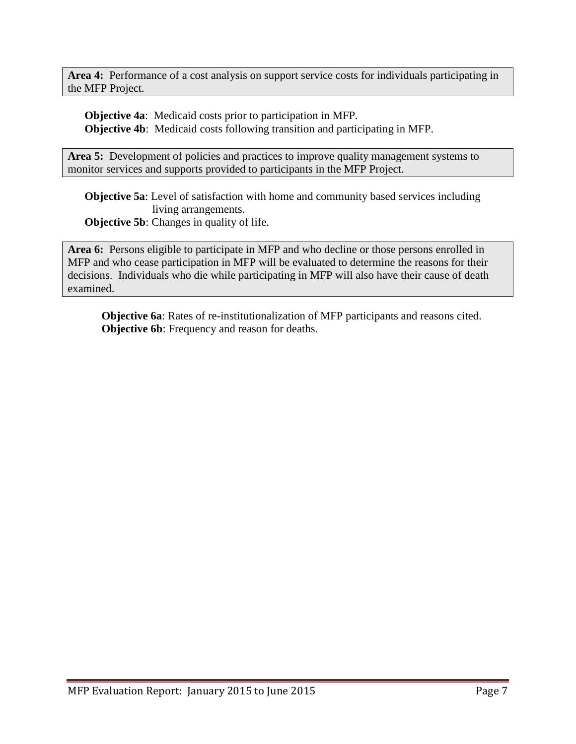**Area 4:** Performance of a cost analysis on support service costs for individuals participating in the MFP Project.

**Objective 4a**: Medicaid costs prior to participation in MFP. **Objective 4b**: Medicaid costs following transition and participating in MFP.

Area 5: Development of policies and practices to improve quality management systems to monitor services and supports provided to participants in the MFP Project.

**Objective 5a**: Level of satisfaction with home and community based services including living arrangements. **Objective 5b:** Changes in quality of life.

**Area 6:** Persons eligible to participate in MFP and who decline or those persons enrolled in MFP and who cease participation in MFP will be evaluated to determine the reasons for their decisions. Individuals who die while participating in MFP will also have their cause of death examined.

**Objective 6a**: Rates of re-institutionalization of MFP participants and reasons cited. **Objective 6b**: Frequency and reason for deaths.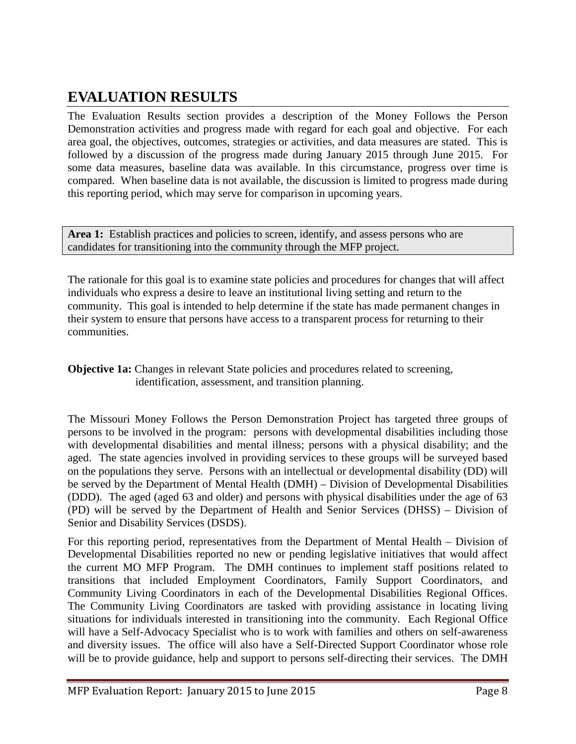## **EVALUATION RESULTS**

The Evaluation Results section provides a description of the Money Follows the Person Demonstration activities and progress made with regard for each goal and objective. For each area goal, the objectives, outcomes, strategies or activities, and data measures are stated. This is followed by a discussion of the progress made during January 2015 through June 2015. For some data measures, baseline data was available. In this circumstance, progress over time is compared. When baseline data is not available, the discussion is limited to progress made during this reporting period, which may serve for comparison in upcoming years.

Area 1: Establish practices and policies to screen, identify, and assess persons who are candidates for transitioning into the community through the MFP project.

The rationale for this goal is to examine state policies and procedures for changes that will affect individuals who express a desire to leave an institutional living setting and return to the community. This goal is intended to help determine if the state has made permanent changes in their system to ensure that persons have access to a transparent process for returning to their communities.

**Objective 1a:** Changes in relevant State policies and procedures related to screening, identification, assessment, and transition planning.

The Missouri Money Follows the Person Demonstration Project has targeted three groups of persons to be involved in the program: persons with developmental disabilities including those with developmental disabilities and mental illness; persons with a physical disability; and the aged. The state agencies involved in providing services to these groups will be surveyed based on the populations they serve. Persons with an intellectual or developmental disability (DD) will be served by the Department of Mental Health (DMH) – Division of Developmental Disabilities (DDD). The aged (aged 63 and older) and persons with physical disabilities under the age of 63 (PD) will be served by the Department of Health and Senior Services (DHSS) – Division of Senior and Disability Services (DSDS).

For this reporting period, representatives from the Department of Mental Health – Division of Developmental Disabilities reported no new or pending legislative initiatives that would affect the current MO MFP Program. The DMH continues to implement staff positions related to transitions that included Employment Coordinators, Family Support Coordinators, and Community Living Coordinators in each of the Developmental Disabilities Regional Offices. The Community Living Coordinators are tasked with providing assistance in locating living situations for individuals interested in transitioning into the community. Each Regional Office will have a Self-Advocacy Specialist who is to work with families and others on self-awareness and diversity issues. The office will also have a Self-Directed Support Coordinator whose role will be to provide guidance, help and support to persons self-directing their services. The DMH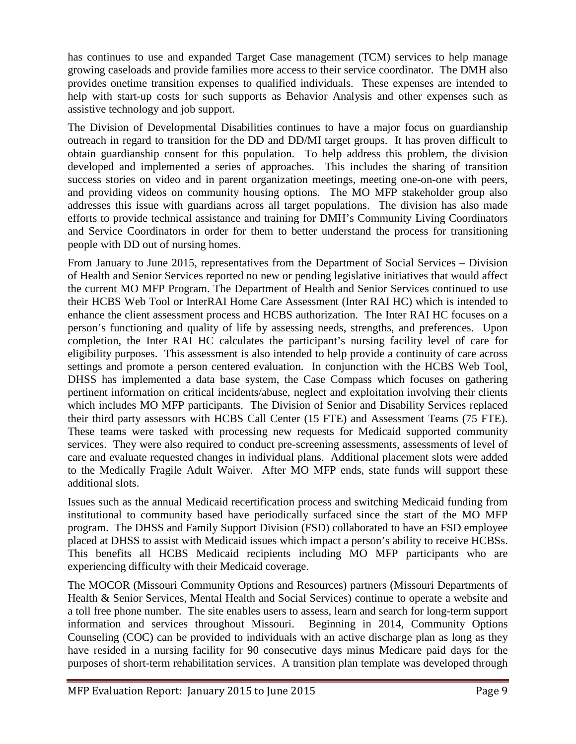has continues to use and expanded Target Case management (TCM) services to help manage growing caseloads and provide families more access to their service coordinator. The DMH also provides onetime transition expenses to qualified individuals. These expenses are intended to help with start-up costs for such supports as Behavior Analysis and other expenses such as assistive technology and job support.

The Division of Developmental Disabilities continues to have a major focus on guardianship outreach in regard to transition for the DD and DD/MI target groups. It has proven difficult to obtain guardianship consent for this population. To help address this problem, the division developed and implemented a series of approaches. This includes the sharing of transition success stories on video and in parent organization meetings, meeting one-on-one with peers, and providing videos on community housing options. The MO MFP stakeholder group also addresses this issue with guardians across all target populations. The division has also made efforts to provide technical assistance and training for DMH's Community Living Coordinators and Service Coordinators in order for them to better understand the process for transitioning people with DD out of nursing homes.

From January to June 2015, representatives from the Department of Social Services – Division of Health and Senior Services reported no new or pending legislative initiatives that would affect the current MO MFP Program. The Department of Health and Senior Services continued to use their HCBS Web Tool or InterRAI Home Care Assessment (Inter RAI HC) which is intended to enhance the client assessment process and HCBS authorization. The Inter RAI HC focuses on a person's functioning and quality of life by assessing needs, strengths, and preferences. Upon completion, the Inter RAI HC calculates the participant's nursing facility level of care for eligibility purposes. This assessment is also intended to help provide a continuity of care across settings and promote a person centered evaluation. In conjunction with the HCBS Web Tool, DHSS has implemented a data base system, the Case Compass which focuses on gathering pertinent information on critical incidents/abuse, neglect and exploitation involving their clients which includes MO MFP participants. The Division of Senior and Disability Services replaced their third party assessors with HCBS Call Center (15 FTE) and Assessment Teams (75 FTE). These teams were tasked with processing new requests for Medicaid supported community services. They were also required to conduct pre-screening assessments, assessments of level of care and evaluate requested changes in individual plans. Additional placement slots were added to the Medically Fragile Adult Waiver. After MO MFP ends, state funds will support these additional slots.

Issues such as the annual Medicaid recertification process and switching Medicaid funding from institutional to community based have periodically surfaced since the start of the MO MFP program. The DHSS and Family Support Division (FSD) collaborated to have an FSD employee placed at DHSS to assist with Medicaid issues which impact a person's ability to receive HCBSs. This benefits all HCBS Medicaid recipients including MO MFP participants who are experiencing difficulty with their Medicaid coverage.

The MOCOR (Missouri Community Options and Resources) partners (Missouri Departments of Health & Senior Services, Mental Health and Social Services) continue to operate a website and a toll free phone number. The site enables users to assess, learn and search for long-term support information and services throughout Missouri. Beginning in 2014, Community Options Counseling (COC) can be provided to individuals with an active discharge plan as long as they have resided in a nursing facility for 90 consecutive days minus Medicare paid days for the purposes of short-term rehabilitation services. A transition plan template was developed through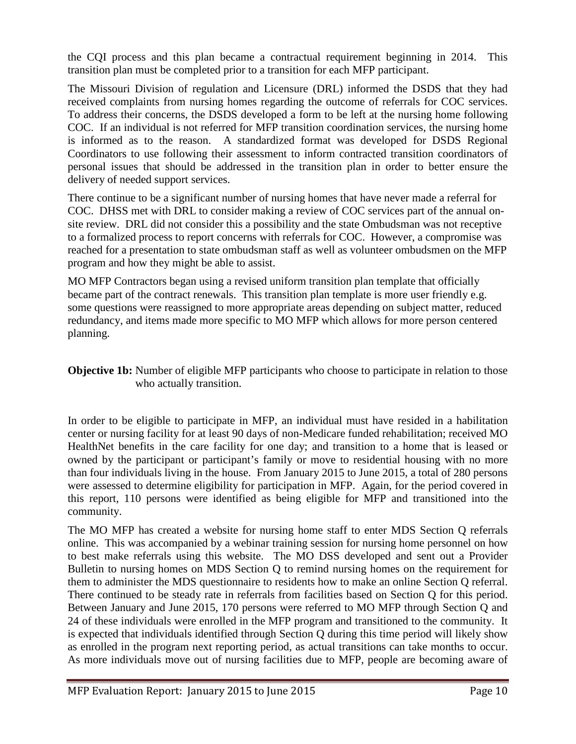the CQI process and this plan became a contractual requirement beginning in 2014. This transition plan must be completed prior to a transition for each MFP participant.

The Missouri Division of regulation and Licensure (DRL) informed the DSDS that they had received complaints from nursing homes regarding the outcome of referrals for COC services. To address their concerns, the DSDS developed a form to be left at the nursing home following COC. If an individual is not referred for MFP transition coordination services, the nursing home is informed as to the reason. A standardized format was developed for DSDS Regional Coordinators to use following their assessment to inform contracted transition coordinators of personal issues that should be addressed in the transition plan in order to better ensure the delivery of needed support services.

There continue to be a significant number of nursing homes that have never made a referral for COC. DHSS met with DRL to consider making a review of COC services part of the annual onsite review. DRL did not consider this a possibility and the state Ombudsman was not receptive to a formalized process to report concerns with referrals for COC. However, a compromise was reached for a presentation to state ombudsman staff as well as volunteer ombudsmen on the MFP program and how they might be able to assist.

MO MFP Contractors began using a revised uniform transition plan template that officially became part of the contract renewals. This transition plan template is more user friendly e.g. some questions were reassigned to more appropriate areas depending on subject matter, reduced redundancy, and items made more specific to MO MFP which allows for more person centered planning.

**Objective 1b:** Number of eligible MFP participants who choose to participate in relation to those who actually transition.

In order to be eligible to participate in MFP, an individual must have resided in a habilitation center or nursing facility for at least 90 days of non-Medicare funded rehabilitation; received MO HealthNet benefits in the care facility for one day; and transition to a home that is leased or owned by the participant or participant's family or move to residential housing with no more than four individuals living in the house. From January 2015 to June 2015, a total of 280 persons were assessed to determine eligibility for participation in MFP. Again, for the period covered in this report, 110 persons were identified as being eligible for MFP and transitioned into the community.

The MO MFP has created a website for nursing home staff to enter MDS Section Q referrals online. This was accompanied by a webinar training session for nursing home personnel on how to best make referrals using this website. The MO DSS developed and sent out a Provider Bulletin to nursing homes on MDS Section Q to remind nursing homes on the requirement for them to administer the MDS questionnaire to residents how to make an online Section Q referral. There continued to be steady rate in referrals from facilities based on Section Q for this period. Between January and June 2015, 170 persons were referred to MO MFP through Section Q and 24 of these individuals were enrolled in the MFP program and transitioned to the community. It is expected that individuals identified through Section Q during this time period will likely show as enrolled in the program next reporting period, as actual transitions can take months to occur. As more individuals move out of nursing facilities due to MFP, people are becoming aware of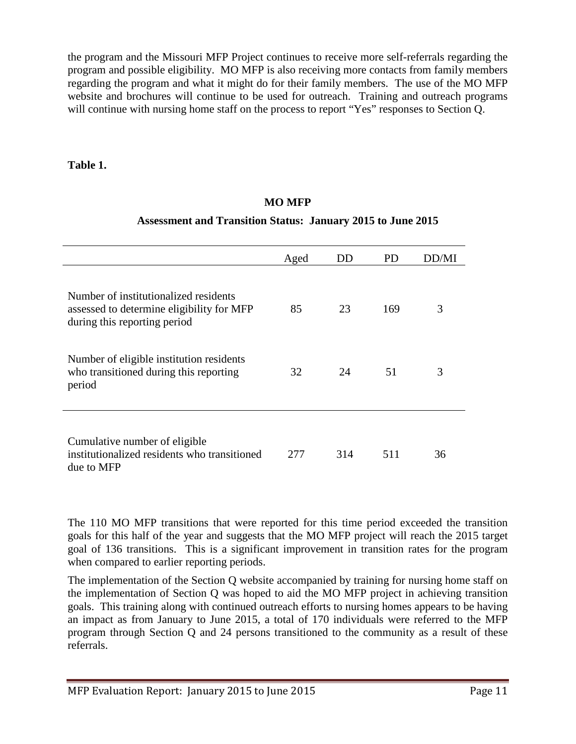the program and the Missouri MFP Project continues to receive more self-referrals regarding the program and possible eligibility. MO MFP is also receiving more contacts from family members regarding the program and what it might do for their family members. The use of the MO MFP website and brochures will continue to be used for outreach. Training and outreach programs will continue with nursing home staff on the process to report "Yes" responses to Section Q.

**Table 1.**

## **MO MFP**

### **Assessment and Transition Status: January 2015 to June 2015**

|                                                                                                                    | Aged | DD  | PD  | DD/MI |
|--------------------------------------------------------------------------------------------------------------------|------|-----|-----|-------|
| Number of institutionalized residents<br>assessed to determine eligibility for MFP<br>during this reporting period | 85   | 23  | 169 | 3     |
| Number of eligible institution residents<br>who transitioned during this reporting<br>period                       | 32   | 24  | 51  | 3     |
| Cumulative number of eligible<br>institutionalized residents who transitioned<br>due to MFP                        | 277  | 314 | 511 | 36    |

The 110 MO MFP transitions that were reported for this time period exceeded the transition goals for this half of the year and suggests that the MO MFP project will reach the 2015 target goal of 136 transitions. This is a significant improvement in transition rates for the program when compared to earlier reporting periods.

The implementation of the Section Q website accompanied by training for nursing home staff on the implementation of Section Q was hoped to aid the MO MFP project in achieving transition goals. This training along with continued outreach efforts to nursing homes appears to be having an impact as from January to June 2015, a total of 170 individuals were referred to the MFP program through Section Q and 24 persons transitioned to the community as a result of these referrals.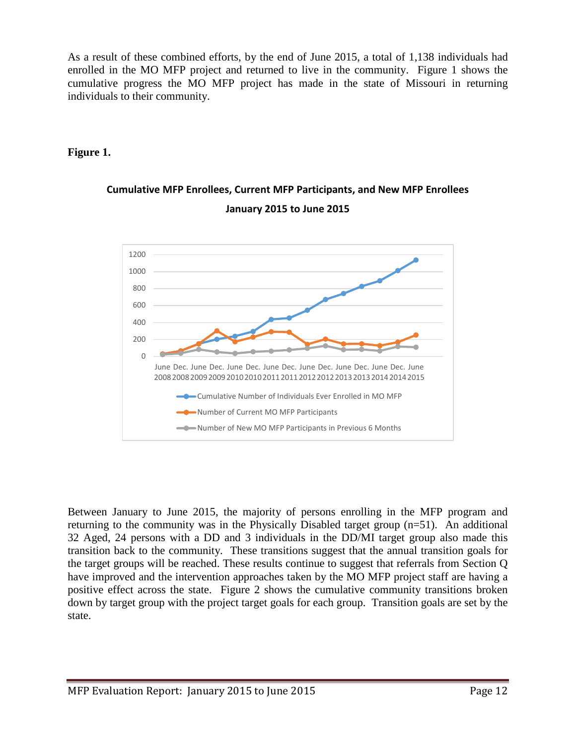As a result of these combined efforts, by the end of June 2015, a total of 1,138 individuals had enrolled in the MO MFP project and returned to live in the community. Figure 1 shows the cumulative progress the MO MFP project has made in the state of Missouri in returning individuals to their community.

## **Figure 1.**

## **Cumulative MFP Enrollees, Current MFP Participants, and New MFP Enrollees January 2015 to June 2015**



Between January to June 2015, the majority of persons enrolling in the MFP program and returning to the community was in the Physically Disabled target group (n=51). An additional 32 Aged, 24 persons with a DD and 3 individuals in the DD/MI target group also made this transition back to the community. These transitions suggest that the annual transition goals for the target groups will be reached. These results continue to suggest that referrals from Section Q have improved and the intervention approaches taken by the MO MFP project staff are having a positive effect across the state. Figure 2 shows the cumulative community transitions broken down by target group with the project target goals for each group. Transition goals are set by the state.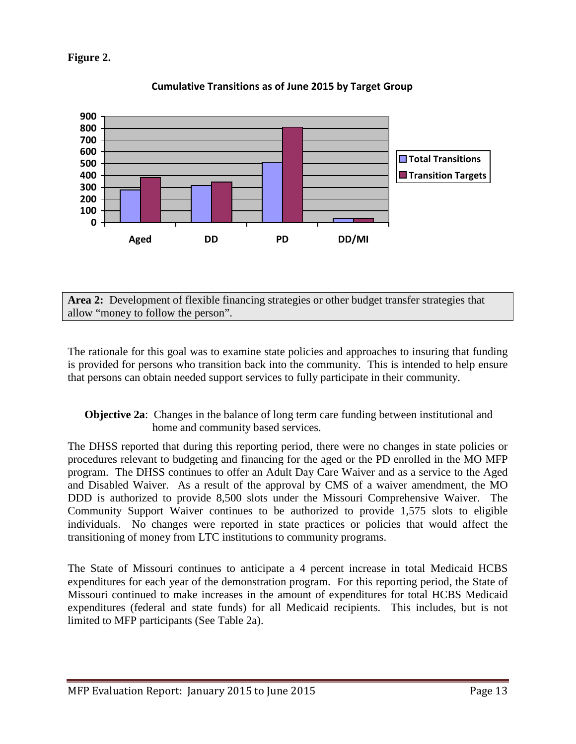## **Figure 2.**



**Cumulative Transitions as of June 2015 by Target Group**

**Area 2:** Development of flexible financing strategies or other budget transfer strategies that allow "money to follow the person".

The rationale for this goal was to examine state policies and approaches to insuring that funding is provided for persons who transition back into the community. This is intended to help ensure that persons can obtain needed support services to fully participate in their community.

**Objective 2a**: Changes in the balance of long term care funding between institutional and home and community based services.

The DHSS reported that during this reporting period, there were no changes in state policies or procedures relevant to budgeting and financing for the aged or the PD enrolled in the MO MFP program. The DHSS continues to offer an Adult Day Care Waiver and as a service to the Aged and Disabled Waiver. As a result of the approval by CMS of a waiver amendment, the MO DDD is authorized to provide 8,500 slots under the Missouri Comprehensive Waiver. The Community Support Waiver continues to be authorized to provide 1,575 slots to eligible individuals. No changes were reported in state practices or policies that would affect the transitioning of money from LTC institutions to community programs.

The State of Missouri continues to anticipate a 4 percent increase in total Medicaid HCBS expenditures for each year of the demonstration program. For this reporting period, the State of Missouri continued to make increases in the amount of expenditures for total HCBS Medicaid expenditures (federal and state funds) for all Medicaid recipients. This includes, but is not limited to MFP participants (See Table 2a).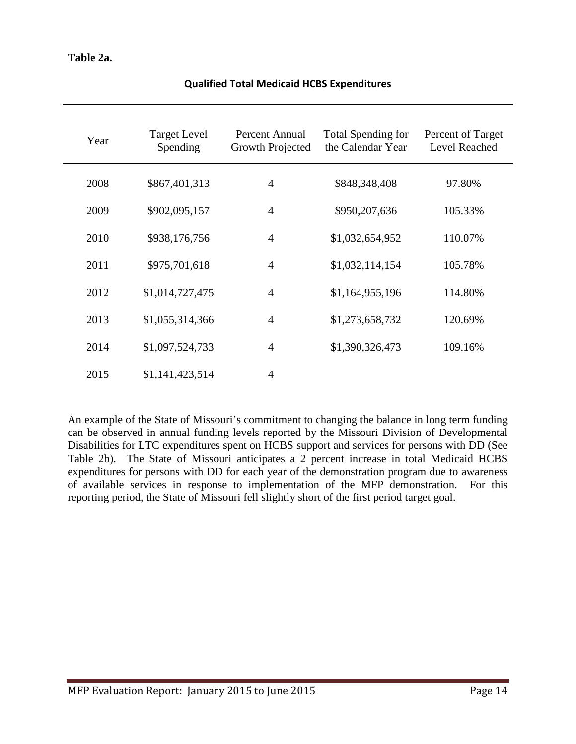## **Table 2a.**

| Year | <b>Target Level</b><br>Spending | Percent Annual<br>Growth Projected | <b>Total Spending for</b><br>the Calendar Year | Percent of Target<br>Level Reached |
|------|---------------------------------|------------------------------------|------------------------------------------------|------------------------------------|
| 2008 | \$867,401,313                   | $\overline{4}$                     | \$848,348,408                                  | 97.80%                             |
| 2009 | \$902,095,157                   | $\overline{4}$                     | \$950,207,636                                  | 105.33%                            |
| 2010 | \$938,176,756                   | $\overline{4}$                     | \$1,032,654,952                                | 110.07%                            |
| 2011 | \$975,701,618                   | $\overline{4}$                     | \$1,032,114,154                                | 105.78%                            |
| 2012 | \$1,014,727,475                 | $\overline{4}$                     | \$1,164,955,196                                | 114.80%                            |
| 2013 | \$1,055,314,366                 | $\overline{4}$                     | \$1,273,658,732                                | 120.69%                            |
| 2014 | \$1,097,524,733                 | $\overline{4}$                     | \$1,390,326,473                                | 109.16%                            |
| 2015 | \$1,141,423,514                 | $\overline{4}$                     |                                                |                                    |

### **Qualified Total Medicaid HCBS Expenditures**

An example of the State of Missouri's commitment to changing the balance in long term funding can be observed in annual funding levels reported by the Missouri Division of Developmental Disabilities for LTC expenditures spent on HCBS support and services for persons with DD (See Table 2b). The State of Missouri anticipates a 2 percent increase in total Medicaid HCBS expenditures for persons with DD for each year of the demonstration program due to awareness of available services in response to implementation of the MFP demonstration. For this reporting period, the State of Missouri fell slightly short of the first period target goal.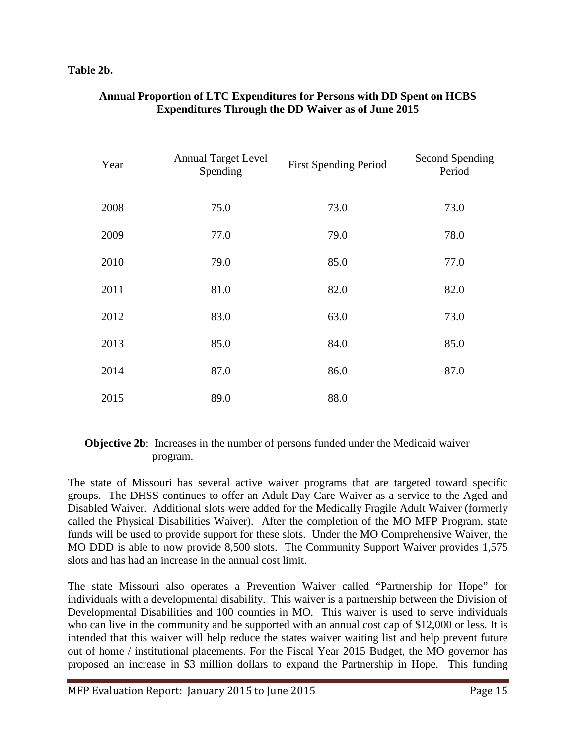## **Table 2b.**

| Year | <b>Annual Target Level</b><br>Spending | <b>First Spending Period</b> | <b>Second Spending</b><br>Period |
|------|----------------------------------------|------------------------------|----------------------------------|
| 2008 | 75.0                                   | 73.0                         | 73.0                             |
| 2009 | 77.0                                   | 79.0                         | 78.0                             |
| 2010 | 79.0                                   | 85.0                         | 77.0                             |
| 2011 | 81.0                                   | 82.0                         | 82.0                             |
| 2012 | 83.0                                   | 63.0                         | 73.0                             |
| 2013 | 85.0                                   | 84.0                         | 85.0                             |
| 2014 | 87.0                                   | 86.0                         | 87.0                             |
| 2015 | 89.0                                   | 88.0                         |                                  |

### **Annual Proportion of LTC Expenditures for Persons with DD Spent on HCBS Expenditures Through the DD Waiver as of June 2015**

## **Objective 2b:** Increases in the number of persons funded under the Medicaid waiver program.

The state of Missouri has several active waiver programs that are targeted toward specific groups. The DHSS continues to offer an Adult Day Care Waiver as a service to the Aged and Disabled Waiver. Additional slots were added for the Medically Fragile Adult Waiver (formerly called the Physical Disabilities Waiver). After the completion of the MO MFP Program, state funds will be used to provide support for these slots. Under the MO Comprehensive Waiver, the MO DDD is able to now provide 8,500 slots. The Community Support Waiver provides 1,575 slots and has had an increase in the annual cost limit.

The state Missouri also operates a Prevention Waiver called "Partnership for Hope" for individuals with a developmental disability. This waiver is a partnership between the Division of Developmental Disabilities and 100 counties in MO. This waiver is used to serve individuals who can live in the community and be supported with an annual cost cap of \$12,000 or less. It is intended that this waiver will help reduce the states waiver waiting list and help prevent future out of home / institutional placements. For the Fiscal Year 2015 Budget, the MO governor has proposed an increase in \$3 million dollars to expand the Partnership in Hope. This funding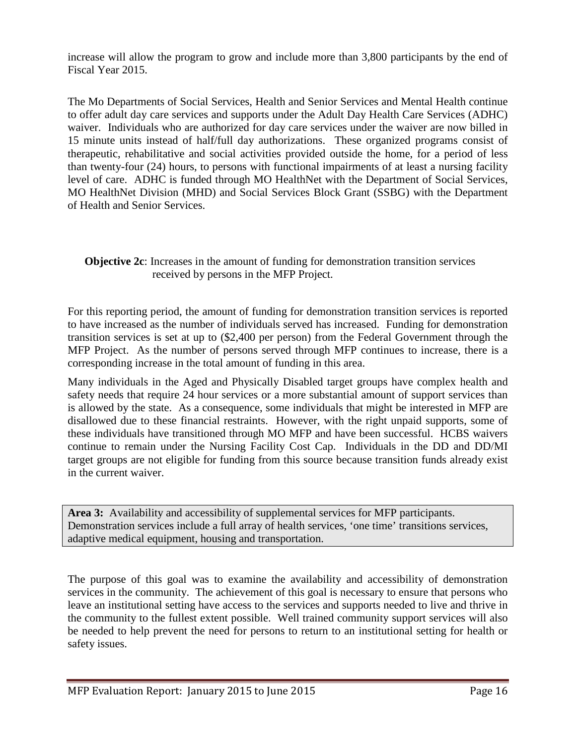increase will allow the program to grow and include more than 3,800 participants by the end of Fiscal Year 2015.

The Mo Departments of Social Services, Health and Senior Services and Mental Health continue to offer adult day care services and supports under the Adult Day Health Care Services (ADHC) waiver. Individuals who are authorized for day care services under the waiver are now billed in 15 minute units instead of half/full day authorizations. These organized programs consist of therapeutic, rehabilitative and social activities provided outside the home, for a period of less than twenty-four (24) hours, to persons with functional impairments of at least a nursing facility level of care. ADHC is funded through MO HealthNet with the Department of Social Services, MO HealthNet Division (MHD) and Social Services Block Grant (SSBG) with the Department of Health and Senior Services.

### **Objective 2c**: Increases in the amount of funding for demonstration transition services received by persons in the MFP Project.

For this reporting period, the amount of funding for demonstration transition services is reported to have increased as the number of individuals served has increased. Funding for demonstration transition services is set at up to (\$2,400 per person) from the Federal Government through the MFP Project. As the number of persons served through MFP continues to increase, there is a corresponding increase in the total amount of funding in this area.

Many individuals in the Aged and Physically Disabled target groups have complex health and safety needs that require 24 hour services or a more substantial amount of support services than is allowed by the state. As a consequence, some individuals that might be interested in MFP are disallowed due to these financial restraints. However, with the right unpaid supports, some of these individuals have transitioned through MO MFP and have been successful. HCBS waivers continue to remain under the Nursing Facility Cost Cap. Individuals in the DD and DD/MI target groups are not eligible for funding from this source because transition funds already exist in the current waiver.

**Area 3:** Availability and accessibility of supplemental services for MFP participants. Demonstration services include a full array of health services, 'one time' transitions services, adaptive medical equipment, housing and transportation.

The purpose of this goal was to examine the availability and accessibility of demonstration services in the community. The achievement of this goal is necessary to ensure that persons who leave an institutional setting have access to the services and supports needed to live and thrive in the community to the fullest extent possible. Well trained community support services will also be needed to help prevent the need for persons to return to an institutional setting for health or safety issues.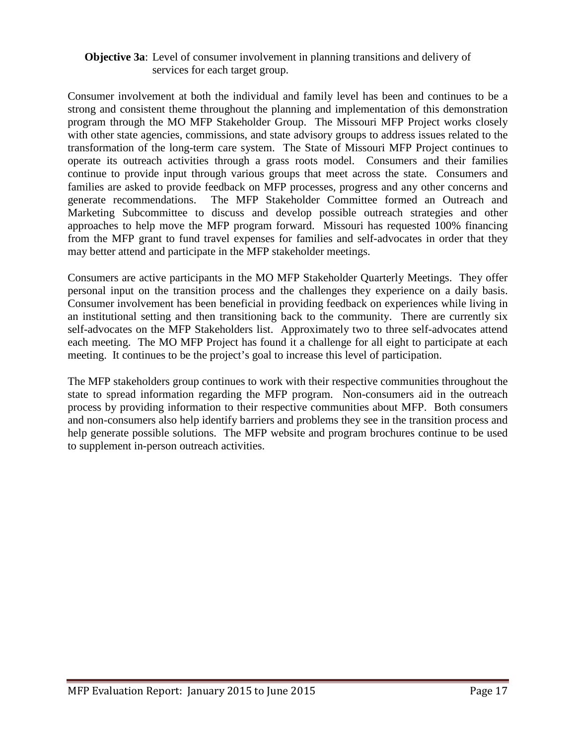### **Objective 3a**: Level of consumer involvement in planning transitions and delivery of services for each target group.

Consumer involvement at both the individual and family level has been and continues to be a strong and consistent theme throughout the planning and implementation of this demonstration program through the MO MFP Stakeholder Group. The Missouri MFP Project works closely with other state agencies, commissions, and state advisory groups to address issues related to the transformation of the long-term care system. The State of Missouri MFP Project continues to operate its outreach activities through a grass roots model. Consumers and their families continue to provide input through various groups that meet across the state. Consumers and families are asked to provide feedback on MFP processes, progress and any other concerns and generate recommendations. The MFP Stakeholder Committee formed an Outreach and Marketing Subcommittee to discuss and develop possible outreach strategies and other approaches to help move the MFP program forward. Missouri has requested 100% financing from the MFP grant to fund travel expenses for families and self-advocates in order that they may better attend and participate in the MFP stakeholder meetings.

Consumers are active participants in the MO MFP Stakeholder Quarterly Meetings. They offer personal input on the transition process and the challenges they experience on a daily basis. Consumer involvement has been beneficial in providing feedback on experiences while living in an institutional setting and then transitioning back to the community. There are currently six self-advocates on the MFP Stakeholders list. Approximately two to three self-advocates attend each meeting. The MO MFP Project has found it a challenge for all eight to participate at each meeting. It continues to be the project's goal to increase this level of participation.

The MFP stakeholders group continues to work with their respective communities throughout the state to spread information regarding the MFP program. Non-consumers aid in the outreach process by providing information to their respective communities about MFP. Both consumers and non-consumers also help identify barriers and problems they see in the transition process and help generate possible solutions. The MFP website and program brochures continue to be used to supplement in-person outreach activities.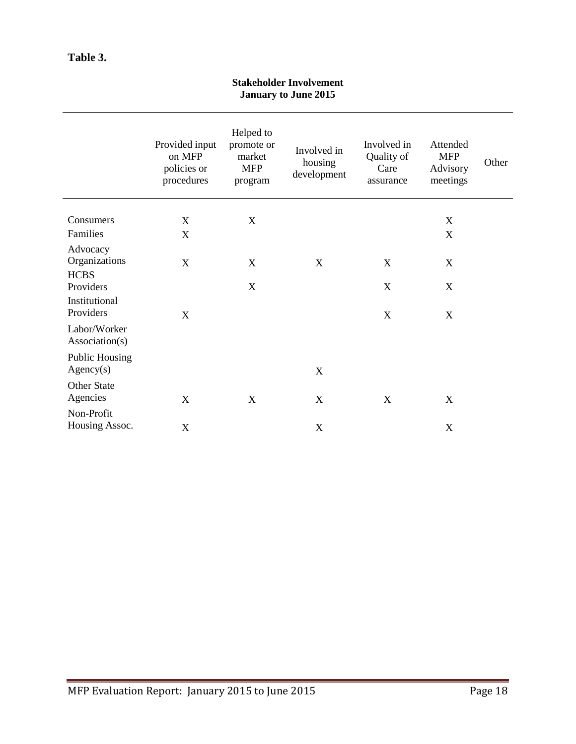## **Table 3.**

| <b>January to June 2015</b>                |                                                       |                                                            |                                       |                                                |                                                |       |
|--------------------------------------------|-------------------------------------------------------|------------------------------------------------------------|---------------------------------------|------------------------------------------------|------------------------------------------------|-------|
|                                            | Provided input<br>on MFP<br>policies or<br>procedures | Helped to<br>promote or<br>market<br><b>MFP</b><br>program | Involved in<br>housing<br>development | Involved in<br>Quality of<br>Care<br>assurance | Attended<br><b>MFP</b><br>Advisory<br>meetings | Other |
| Consumers                                  | X                                                     | $\mathbf X$                                                |                                       |                                                | X                                              |       |
| Families                                   | $\boldsymbol{\mathrm{X}}$                             |                                                            |                                       |                                                | $\mathbf X$                                    |       |
| Advocacy<br>Organizations<br><b>HCBS</b>   | $\boldsymbol{\mathrm{X}}$                             | X                                                          | X                                     | X                                              | X                                              |       |
| Providers                                  |                                                       | X                                                          |                                       | X                                              | $\mathbf X$                                    |       |
| Institutional<br>Providers<br>Labor/Worker | X                                                     |                                                            |                                       | X                                              | X                                              |       |
| Association(s)                             |                                                       |                                                            |                                       |                                                |                                                |       |
| <b>Public Housing</b><br>Agency(s)         |                                                       |                                                            | X                                     |                                                |                                                |       |
| Other State<br>Agencies                    | X                                                     | $\mathbf X$                                                | $\mathbf X$                           | X                                              | X                                              |       |
| Non-Profit<br>Housing Assoc.               | $\boldsymbol{\mathrm{X}}$                             |                                                            | $\boldsymbol{X}$                      |                                                | $\boldsymbol{\mathrm{X}}$                      |       |

### **Stakeholder Involvement January to June 2015**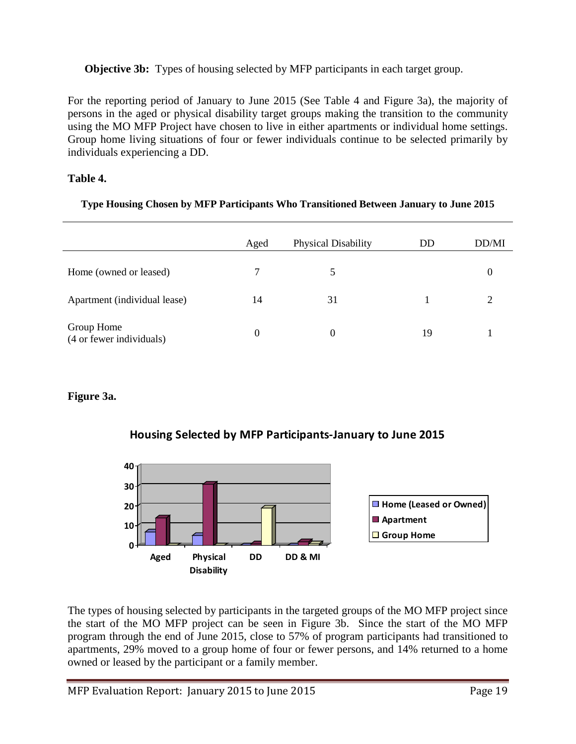## **Objective 3b:** Types of housing selected by MFP participants in each target group.

For the reporting period of January to June 2015 (See Table 4 and Figure 3a), the majority of persons in the aged or physical disability target groups making the transition to the community using the MO MFP Project have chosen to live in either apartments or individual home settings. Group home living situations of four or fewer individuals continue to be selected primarily by individuals experiencing a DD.

## **Table 4.**

### **Type Housing Chosen by MFP Participants Who Transitioned Between January to June 2015**

|                                        | Aged             | <b>Physical Disability</b> | DD | DD/MI |
|----------------------------------------|------------------|----------------------------|----|-------|
| Home (owned or leased)                 | 7                | 5                          |    |       |
| Apartment (individual lease)           | 14               | 31                         |    |       |
| Group Home<br>(4 or fewer individuals) | $\boldsymbol{0}$ |                            | 19 |       |

## **Figure 3a.**





The types of housing selected by participants in the targeted groups of the MO MFP project since the start of the MO MFP project can be seen in Figure 3b. Since the start of the MO MFP program through the end of June 2015, close to 57% of program participants had transitioned to apartments, 29% moved to a group home of four or fewer persons, and 14% returned to a home owned or leased by the participant or a family member.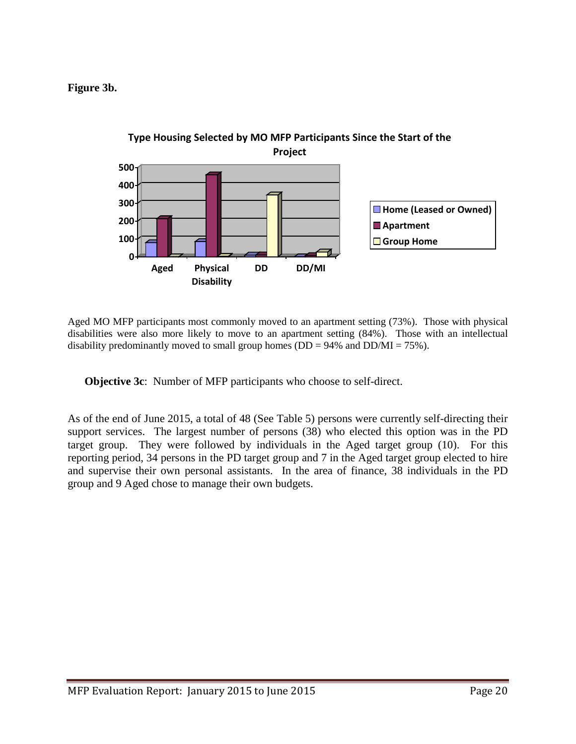## **Figure 3b.**



Aged MO MFP participants most commonly moved to an apartment setting (73%). Those with physical disabilities were also more likely to move to an apartment setting (84%). Those with an intellectual disability predominantly moved to small group homes ( $DD = 94\%$  and  $DD/MI = 75\%$ ).

**Objective 3c**: Number of MFP participants who choose to self-direct.

As of the end of June 2015, a total of 48 (See Table 5) persons were currently self-directing their support services. The largest number of persons (38) who elected this option was in the PD target group. They were followed by individuals in the Aged target group (10). For this reporting period, 34 persons in the PD target group and 7 in the Aged target group elected to hire and supervise their own personal assistants. In the area of finance, 38 individuals in the PD group and 9 Aged chose to manage their own budgets.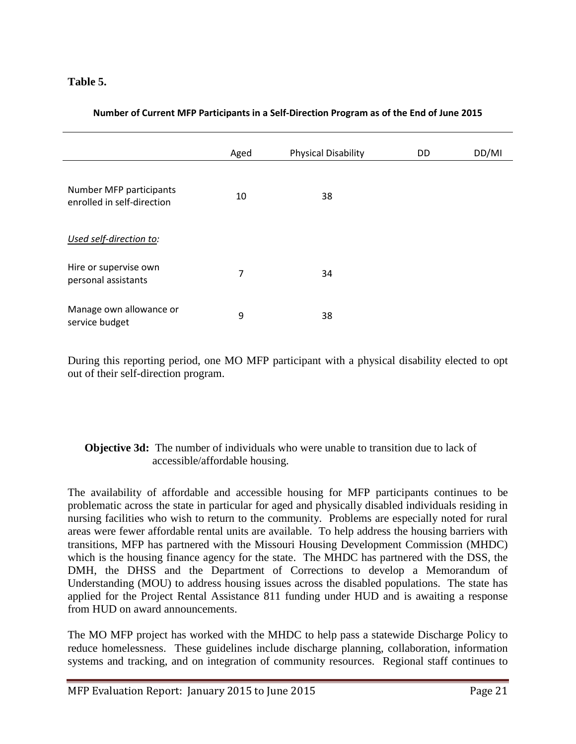## **Table 5.**

|  | Number of Current MFP Participants in a Self-Direction Program as of the End of June 2015 |
|--|-------------------------------------------------------------------------------------------|
|  |                                                                                           |

|                                                       |      | <b>Physical Disability</b> | DD | DD/MI |
|-------------------------------------------------------|------|----------------------------|----|-------|
|                                                       | Aged |                            |    |       |
| Number MFP participants<br>enrolled in self-direction | 10   | 38                         |    |       |
| Used self-direction to:                               |      |                            |    |       |
| Hire or supervise own<br>personal assistants          | 7    | 34                         |    |       |
| Manage own allowance or<br>service budget             | 9    | 38                         |    |       |

During this reporting period, one MO MFP participant with a physical disability elected to opt out of their self-direction program.

## **Objective 3d:** The number of individuals who were unable to transition due to lack of accessible/affordable housing.

The availability of affordable and accessible housing for MFP participants continues to be problematic across the state in particular for aged and physically disabled individuals residing in nursing facilities who wish to return to the community. Problems are especially noted for rural areas were fewer affordable rental units are available. To help address the housing barriers with transitions, MFP has partnered with the Missouri Housing Development Commission (MHDC) which is the housing finance agency for the state. The MHDC has partnered with the DSS, the DMH, the DHSS and the Department of Corrections to develop a Memorandum of Understanding (MOU) to address housing issues across the disabled populations. The state has applied for the Project Rental Assistance 811 funding under HUD and is awaiting a response from HUD on award announcements.

The MO MFP project has worked with the MHDC to help pass a statewide Discharge Policy to reduce homelessness. These guidelines include discharge planning, collaboration, information systems and tracking, and on integration of community resources. Regional staff continues to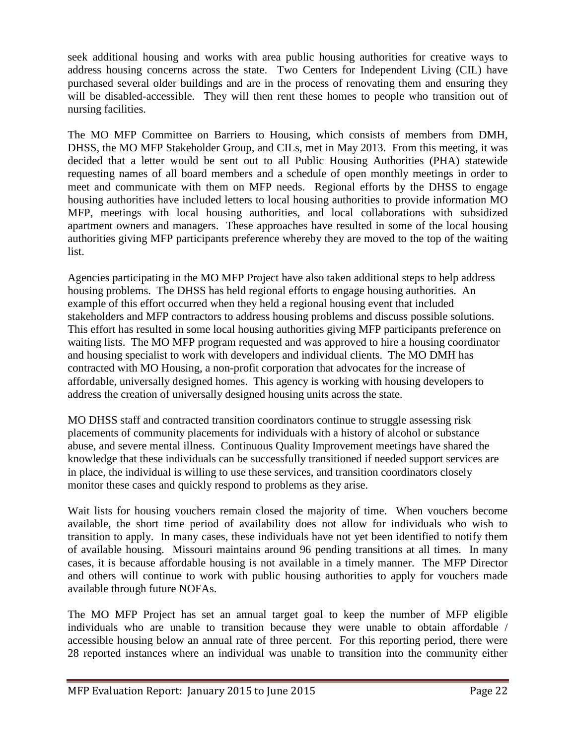seek additional housing and works with area public housing authorities for creative ways to address housing concerns across the state. Two Centers for Independent Living (CIL) have purchased several older buildings and are in the process of renovating them and ensuring they will be disabled-accessible. They will then rent these homes to people who transition out of nursing facilities.

The MO MFP Committee on Barriers to Housing, which consists of members from DMH, DHSS, the MO MFP Stakeholder Group, and CILs, met in May 2013. From this meeting, it was decided that a letter would be sent out to all Public Housing Authorities (PHA) statewide requesting names of all board members and a schedule of open monthly meetings in order to meet and communicate with them on MFP needs. Regional efforts by the DHSS to engage housing authorities have included letters to local housing authorities to provide information MO MFP, meetings with local housing authorities, and local collaborations with subsidized apartment owners and managers. These approaches have resulted in some of the local housing authorities giving MFP participants preference whereby they are moved to the top of the waiting list.

Agencies participating in the MO MFP Project have also taken additional steps to help address housing problems. The DHSS has held regional efforts to engage housing authorities. An example of this effort occurred when they held a regional housing event that included stakeholders and MFP contractors to address housing problems and discuss possible solutions. This effort has resulted in some local housing authorities giving MFP participants preference on waiting lists. The MO MFP program requested and was approved to hire a housing coordinator and housing specialist to work with developers and individual clients. The MO DMH has contracted with MO Housing, a non-profit corporation that advocates for the increase of affordable, universally designed homes. This agency is working with housing developers to address the creation of universally designed housing units across the state.

MO DHSS staff and contracted transition coordinators continue to struggle assessing risk placements of community placements for individuals with a history of alcohol or substance abuse, and severe mental illness. Continuous Quality Improvement meetings have shared the knowledge that these individuals can be successfully transitioned if needed support services are in place, the individual is willing to use these services, and transition coordinators closely monitor these cases and quickly respond to problems as they arise.

Wait lists for housing vouchers remain closed the majority of time. When vouchers become available, the short time period of availability does not allow for individuals who wish to transition to apply. In many cases, these individuals have not yet been identified to notify them of available housing. Missouri maintains around 96 pending transitions at all times. In many cases, it is because affordable housing is not available in a timely manner. The MFP Director and others will continue to work with public housing authorities to apply for vouchers made available through future NOFAs.

The MO MFP Project has set an annual target goal to keep the number of MFP eligible individuals who are unable to transition because they were unable to obtain affordable / accessible housing below an annual rate of three percent. For this reporting period, there were 28 reported instances where an individual was unable to transition into the community either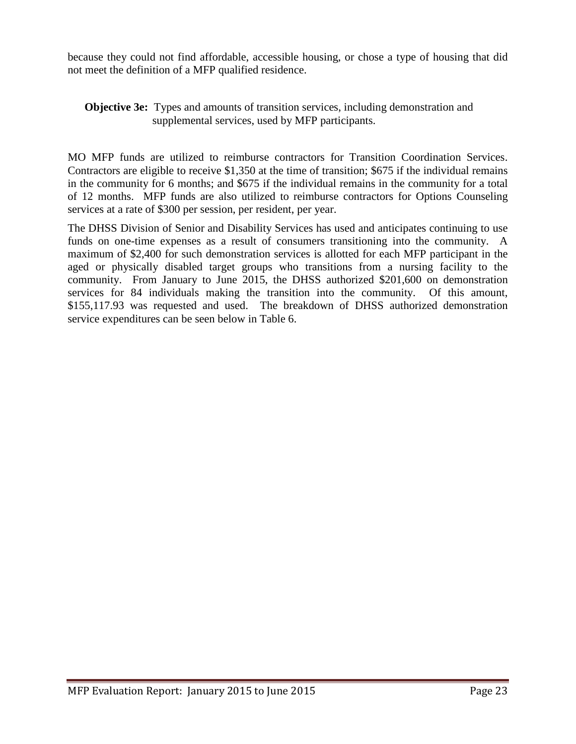because they could not find affordable, accessible housing, or chose a type of housing that did not meet the definition of a MFP qualified residence.

### **Objective 3e:** Types and amounts of transition services, including demonstration and supplemental services, used by MFP participants.

MO MFP funds are utilized to reimburse contractors for Transition Coordination Services. Contractors are eligible to receive \$1,350 at the time of transition; \$675 if the individual remains in the community for 6 months; and \$675 if the individual remains in the community for a total of 12 months. MFP funds are also utilized to reimburse contractors for Options Counseling services at a rate of \$300 per session, per resident, per year.

The DHSS Division of Senior and Disability Services has used and anticipates continuing to use funds on one-time expenses as a result of consumers transitioning into the community. A maximum of \$2,400 for such demonstration services is allotted for each MFP participant in the aged or physically disabled target groups who transitions from a nursing facility to the community. From January to June 2015, the DHSS authorized \$201,600 on demonstration services for 84 individuals making the transition into the community. Of this amount, \$155,117.93 was requested and used. The breakdown of DHSS authorized demonstration service expenditures can be seen below in Table 6.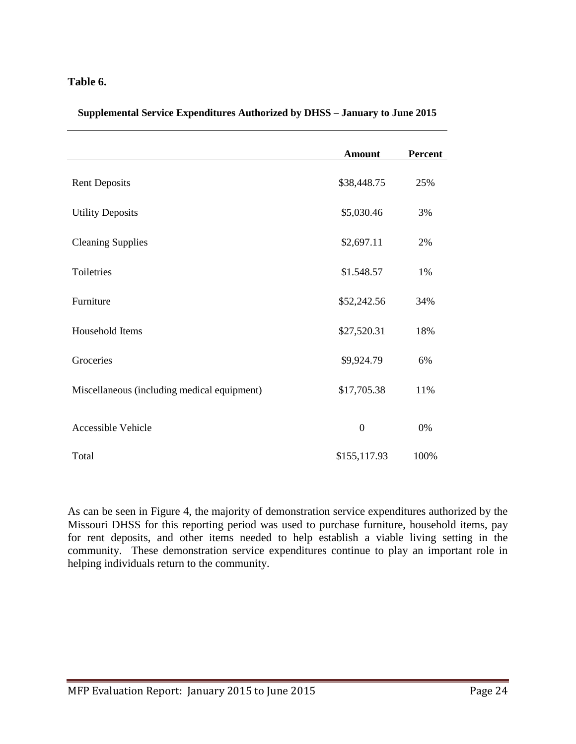### **Table 6.**

|                                             | <b>Amount</b>    | Percent |
|---------------------------------------------|------------------|---------|
| <b>Rent Deposits</b>                        | \$38,448.75      | 25%     |
| <b>Utility Deposits</b>                     | \$5,030.46       | 3%      |
| <b>Cleaning Supplies</b>                    | \$2,697.11       | 2%      |
| Toiletries                                  | \$1.548.57       | 1%      |
| Furniture                                   | \$52,242.56      | 34%     |
| Household Items                             | \$27,520.31      | 18%     |
| Groceries                                   | \$9,924.79       | 6%      |
| Miscellaneous (including medical equipment) | \$17,705.38      | 11%     |
| <b>Accessible Vehicle</b>                   | $\boldsymbol{0}$ | 0%      |
| Total                                       | \$155,117.93     | 100%    |

**Supplemental Service Expenditures Authorized by DHSS – January to June 2015**

As can be seen in Figure 4, the majority of demonstration service expenditures authorized by the Missouri DHSS for this reporting period was used to purchase furniture, household items, pay for rent deposits, and other items needed to help establish a viable living setting in the community. These demonstration service expenditures continue to play an important role in helping individuals return to the community.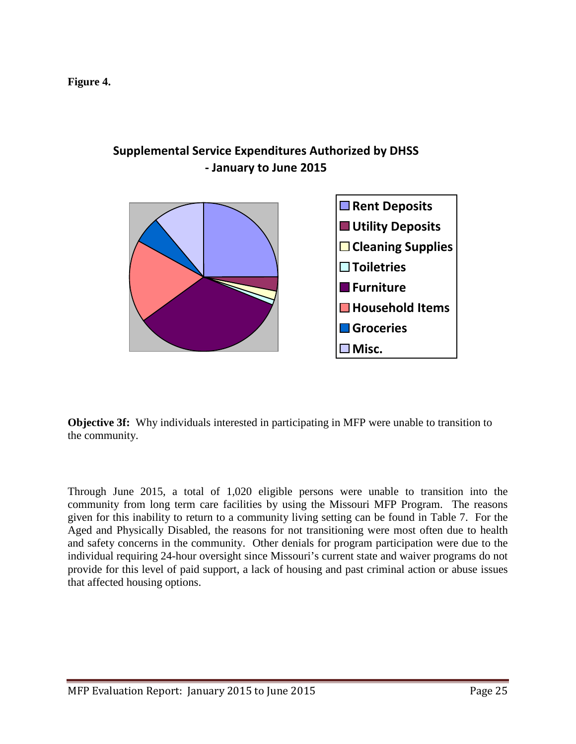

## **Supplemental Service Expenditures Authorized by DHSS - January to June 2015**

**Objective 3f:** Why individuals interested in participating in MFP were unable to transition to the community.

Through June 2015, a total of 1,020 eligible persons were unable to transition into the community from long term care facilities by using the Missouri MFP Program. The reasons given for this inability to return to a community living setting can be found in Table 7. For the Aged and Physically Disabled, the reasons for not transitioning were most often due to health and safety concerns in the community. Other denials for program participation were due to the individual requiring 24-hour oversight since Missouri's current state and waiver programs do not provide for this level of paid support, a lack of housing and past criminal action or abuse issues that affected housing options.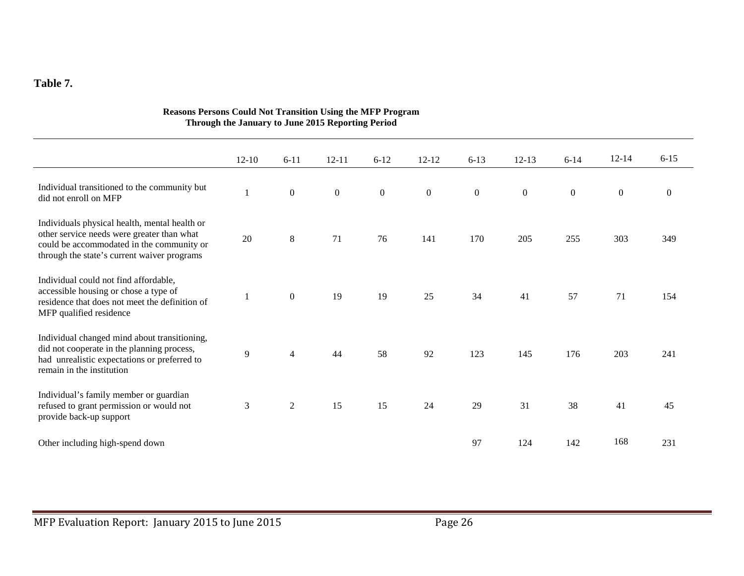## **Table 7.**

|                                                                                                                                                                                         | $12 - 10$      | $6 - 11$       | $12 - 11$        | $6 - 12$         | $12 - 12$      | $6 - 13$         | $12-13$          | $6 - 14$         | $12 - 14$        | $6 - 15$         |
|-----------------------------------------------------------------------------------------------------------------------------------------------------------------------------------------|----------------|----------------|------------------|------------------|----------------|------------------|------------------|------------------|------------------|------------------|
| Individual transitioned to the community but<br>did not enroll on MFP                                                                                                                   |                | $\mathbf{0}$   | $\boldsymbol{0}$ | $\boldsymbol{0}$ | $\overline{0}$ | $\boldsymbol{0}$ | $\boldsymbol{0}$ | $\boldsymbol{0}$ | $\boldsymbol{0}$ | $\boldsymbol{0}$ |
| Individuals physical health, mental health or<br>other service needs were greater than what<br>could be accommodated in the community or<br>through the state's current waiver programs | 20             | $8\,$          | 71               | 76               | 141            | 170              | 205              | 255              | 303              | 349              |
| Individual could not find affordable,<br>accessible housing or chose a type of<br>residence that does not meet the definition of<br>MFP qualified residence                             | $\mathbf{1}$   | $\mathbf{0}$   | 19               | 19               | 25             | 34               | 41               | 57               | 71               | 154              |
| Individual changed mind about transitioning,<br>did not cooperate in the planning process,<br>had unrealistic expectations or preferred to<br>remain in the institution                 | $\overline{9}$ | $\overline{4}$ | 44               | 58               | 92             | 123              | 145              | 176              | 203              | 241              |
| Individual's family member or guardian<br>refused to grant permission or would not<br>provide back-up support                                                                           | $\mathfrak{Z}$ | $\overline{2}$ | 15               | 15               | 24             | 29               | 31               | 38               | 41               | 45               |
| Other including high-spend down                                                                                                                                                         |                |                |                  |                  |                | 97               | 124              | 142              | 168              | 231              |

#### **Reasons Persons Could Not Transition Using the MFP Program Through the January to June 2015 Reporting Period**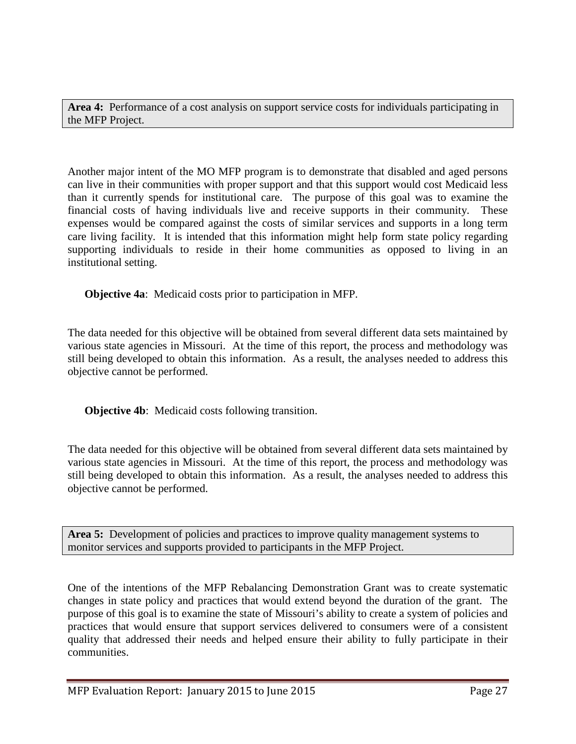**Area 4:** Performance of a cost analysis on support service costs for individuals participating in the MFP Project.

Another major intent of the MO MFP program is to demonstrate that disabled and aged persons can live in their communities with proper support and that this support would cost Medicaid less than it currently spends for institutional care. The purpose of this goal was to examine the financial costs of having individuals live and receive supports in their community. These expenses would be compared against the costs of similar services and supports in a long term care living facility. It is intended that this information might help form state policy regarding supporting individuals to reside in their home communities as opposed to living in an institutional setting.

**Objective 4a**: Medicaid costs prior to participation in MFP.

The data needed for this objective will be obtained from several different data sets maintained by various state agencies in Missouri. At the time of this report, the process and methodology was still being developed to obtain this information. As a result, the analyses needed to address this objective cannot be performed.

**Objective 4b**: Medicaid costs following transition.

The data needed for this objective will be obtained from several different data sets maintained by various state agencies in Missouri. At the time of this report, the process and methodology was still being developed to obtain this information. As a result, the analyses needed to address this objective cannot be performed.

**Area 5:** Development of policies and practices to improve quality management systems to monitor services and supports provided to participants in the MFP Project.

One of the intentions of the MFP Rebalancing Demonstration Grant was to create systematic changes in state policy and practices that would extend beyond the duration of the grant. The purpose of this goal is to examine the state of Missouri's ability to create a system of policies and practices that would ensure that support services delivered to consumers were of a consistent quality that addressed their needs and helped ensure their ability to fully participate in their communities.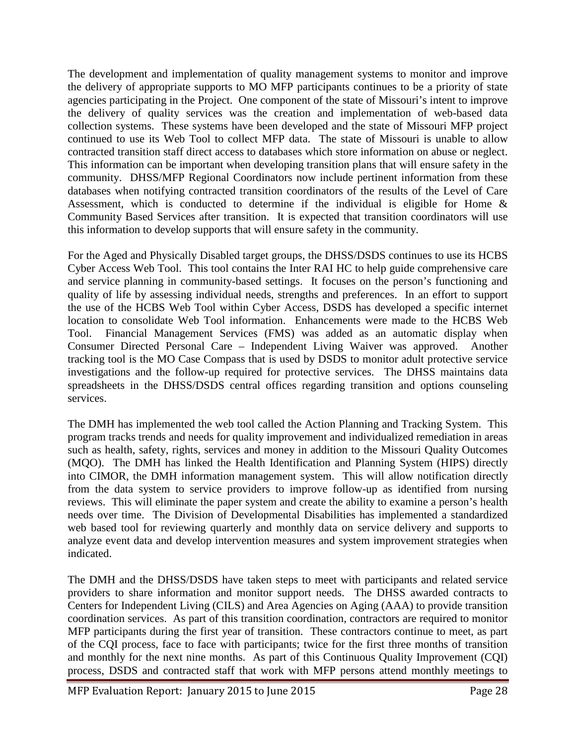The development and implementation of quality management systems to monitor and improve the delivery of appropriate supports to MO MFP participants continues to be a priority of state agencies participating in the Project. One component of the state of Missouri's intent to improve the delivery of quality services was the creation and implementation of web-based data collection systems. These systems have been developed and the state of Missouri MFP project continued to use its Web Tool to collect MFP data. The state of Missouri is unable to allow contracted transition staff direct access to databases which store information on abuse or neglect. This information can be important when developing transition plans that will ensure safety in the community. DHSS/MFP Regional Coordinators now include pertinent information from these databases when notifying contracted transition coordinators of the results of the Level of Care Assessment, which is conducted to determine if the individual is eligible for Home  $\&$ Community Based Services after transition. It is expected that transition coordinators will use this information to develop supports that will ensure safety in the community.

For the Aged and Physically Disabled target groups, the DHSS/DSDS continues to use its HCBS Cyber Access Web Tool. This tool contains the Inter RAI HC to help guide comprehensive care and service planning in community-based settings. It focuses on the person's functioning and quality of life by assessing individual needs, strengths and preferences. In an effort to support the use of the HCBS Web Tool within Cyber Access, DSDS has developed a specific internet location to consolidate Web Tool information. Enhancements were made to the HCBS Web Tool. Financial Management Services (FMS) was added as an automatic display when Consumer Directed Personal Care – Independent Living Waiver was approved. Another tracking tool is the MO Case Compass that is used by DSDS to monitor adult protective service investigations and the follow-up required for protective services. The DHSS maintains data spreadsheets in the DHSS/DSDS central offices regarding transition and options counseling services.

The DMH has implemented the web tool called the Action Planning and Tracking System. This program tracks trends and needs for quality improvement and individualized remediation in areas such as health, safety, rights, services and money in addition to the Missouri Quality Outcomes (MQO). The DMH has linked the Health Identification and Planning System (HIPS) directly into CIMOR, the DMH information management system. This will allow notification directly from the data system to service providers to improve follow-up as identified from nursing reviews. This will eliminate the paper system and create the ability to examine a person's health needs over time. The Division of Developmental Disabilities has implemented a standardized web based tool for reviewing quarterly and monthly data on service delivery and supports to analyze event data and develop intervention measures and system improvement strategies when indicated.

The DMH and the DHSS/DSDS have taken steps to meet with participants and related service providers to share information and monitor support needs. The DHSS awarded contracts to Centers for Independent Living (CILS) and Area Agencies on Aging (AAA) to provide transition coordination services. As part of this transition coordination, contractors are required to monitor MFP participants during the first year of transition. These contractors continue to meet, as part of the CQI process, face to face with participants; twice for the first three months of transition and monthly for the next nine months. As part of this Continuous Quality Improvement (CQI) process, DSDS and contracted staff that work with MFP persons attend monthly meetings to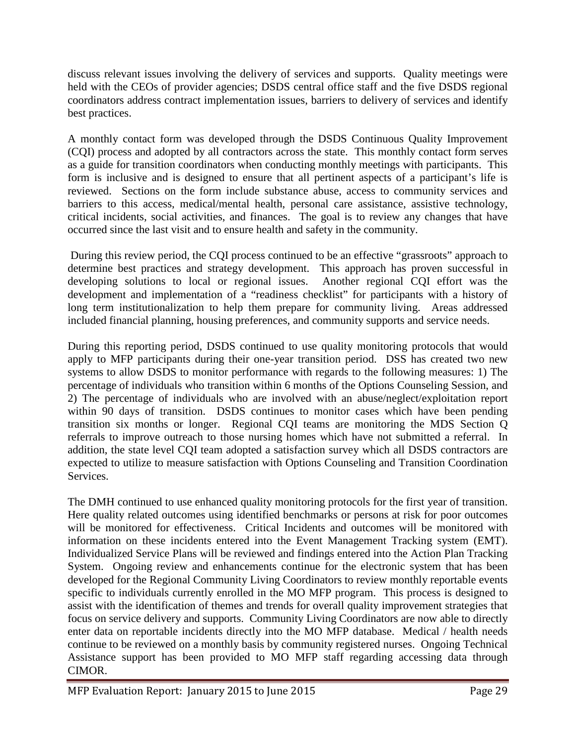discuss relevant issues involving the delivery of services and supports. Quality meetings were held with the CEOs of provider agencies; DSDS central office staff and the five DSDS regional coordinators address contract implementation issues, barriers to delivery of services and identify best practices.

A monthly contact form was developed through the DSDS Continuous Quality Improvement (CQI) process and adopted by all contractors across the state. This monthly contact form serves as a guide for transition coordinators when conducting monthly meetings with participants. This form is inclusive and is designed to ensure that all pertinent aspects of a participant's life is reviewed. Sections on the form include substance abuse, access to community services and barriers to this access, medical/mental health, personal care assistance, assistive technology, critical incidents, social activities, and finances. The goal is to review any changes that have occurred since the last visit and to ensure health and safety in the community.

During this review period, the CQI process continued to be an effective "grassroots" approach to determine best practices and strategy development. This approach has proven successful in developing solutions to local or regional issues. Another regional CQI effort was the development and implementation of a "readiness checklist" for participants with a history of long term institutionalization to help them prepare for community living. Areas addressed included financial planning, housing preferences, and community supports and service needs.

During this reporting period, DSDS continued to use quality monitoring protocols that would apply to MFP participants during their one-year transition period. DSS has created two new systems to allow DSDS to monitor performance with regards to the following measures: 1) The percentage of individuals who transition within 6 months of the Options Counseling Session, and 2) The percentage of individuals who are involved with an abuse/neglect/exploitation report within 90 days of transition. DSDS continues to monitor cases which have been pending transition six months or longer. Regional CQI teams are monitoring the MDS Section Q referrals to improve outreach to those nursing homes which have not submitted a referral. In addition, the state level CQI team adopted a satisfaction survey which all DSDS contractors are expected to utilize to measure satisfaction with Options Counseling and Transition Coordination Services.

The DMH continued to use enhanced quality monitoring protocols for the first year of transition. Here quality related outcomes using identified benchmarks or persons at risk for poor outcomes will be monitored for effectiveness. Critical Incidents and outcomes will be monitored with information on these incidents entered into the Event Management Tracking system (EMT). Individualized Service Plans will be reviewed and findings entered into the Action Plan Tracking System. Ongoing review and enhancements continue for the electronic system that has been developed for the Regional Community Living Coordinators to review monthly reportable events specific to individuals currently enrolled in the MO MFP program. This process is designed to assist with the identification of themes and trends for overall quality improvement strategies that focus on service delivery and supports. Community Living Coordinators are now able to directly enter data on reportable incidents directly into the MO MFP database. Medical / health needs continue to be reviewed on a monthly basis by community registered nurses. Ongoing Technical Assistance support has been provided to MO MFP staff regarding accessing data through CIMOR.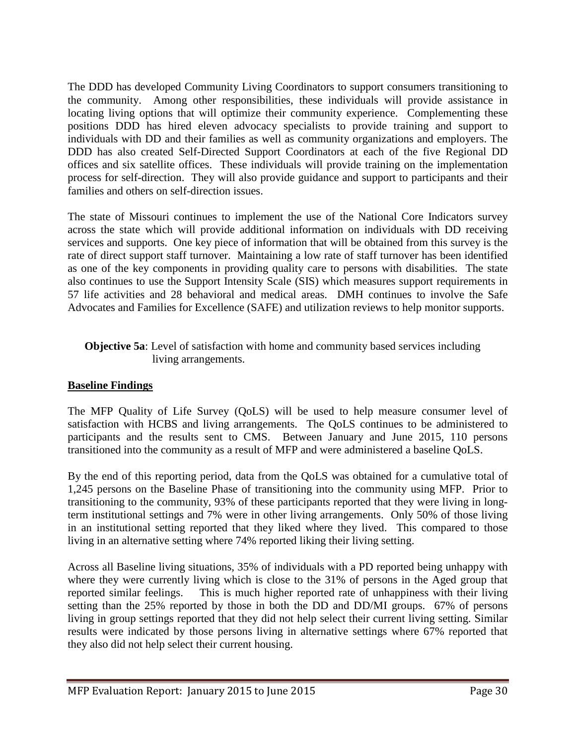The DDD has developed Community Living Coordinators to support consumers transitioning to the community. Among other responsibilities, these individuals will provide assistance in locating living options that will optimize their community experience. Complementing these positions DDD has hired eleven advocacy specialists to provide training and support to individuals with DD and their families as well as community organizations and employers. The DDD has also created Self-Directed Support Coordinators at each of the five Regional DD offices and six satellite offices. These individuals will provide training on the implementation process for self-direction. They will also provide guidance and support to participants and their families and others on self-direction issues.

The state of Missouri continues to implement the use of the National Core Indicators survey across the state which will provide additional information on individuals with DD receiving services and supports. One key piece of information that will be obtained from this survey is the rate of direct support staff turnover. Maintaining a low rate of staff turnover has been identified as one of the key components in providing quality care to persons with disabilities. The state also continues to use the Support Intensity Scale (SIS) which measures support requirements in 57 life activities and 28 behavioral and medical areas. DMH continues to involve the Safe Advocates and Families for Excellence (SAFE) and utilization reviews to help monitor supports.

## **Objective 5a**: Level of satisfaction with home and community based services including living arrangements.

## **Baseline Findings**

The MFP Quality of Life Survey (QoLS) will be used to help measure consumer level of satisfaction with HCBS and living arrangements. The QoLS continues to be administered to participants and the results sent to CMS. Between January and June 2015, 110 persons transitioned into the community as a result of MFP and were administered a baseline QoLS.

By the end of this reporting period, data from the QoLS was obtained for a cumulative total of 1,245 persons on the Baseline Phase of transitioning into the community using MFP. Prior to transitioning to the community, 93% of these participants reported that they were living in longterm institutional settings and 7% were in other living arrangements. Only 50% of those living in an institutional setting reported that they liked where they lived. This compared to those living in an alternative setting where 74% reported liking their living setting.

Across all Baseline living situations, 35% of individuals with a PD reported being unhappy with where they were currently living which is close to the 31% of persons in the Aged group that reported similar feelings. This is much higher reported rate of unhappiness with their living setting than the 25% reported by those in both the DD and DD/MI groups. 67% of persons living in group settings reported that they did not help select their current living setting. Similar results were indicated by those persons living in alternative settings where 67% reported that they also did not help select their current housing.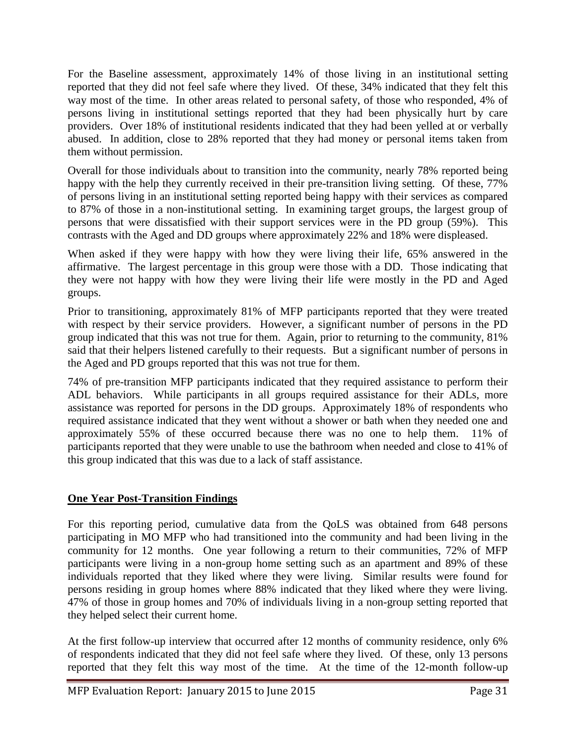For the Baseline assessment, approximately 14% of those living in an institutional setting reported that they did not feel safe where they lived. Of these, 34% indicated that they felt this way most of the time. In other areas related to personal safety, of those who responded, 4% of persons living in institutional settings reported that they had been physically hurt by care providers. Over 18% of institutional residents indicated that they had been yelled at or verbally abused. In addition, close to 28% reported that they had money or personal items taken from them without permission.

Overall for those individuals about to transition into the community, nearly 78% reported being happy with the help they currently received in their pre-transition living setting. Of these, 77% of persons living in an institutional setting reported being happy with their services as compared to 87% of those in a non-institutional setting. In examining target groups, the largest group of persons that were dissatisfied with their support services were in the PD group (59%). This contrasts with the Aged and DD groups where approximately 22% and 18% were displeased.

When asked if they were happy with how they were living their life, 65% answered in the affirmative. The largest percentage in this group were those with a DD. Those indicating that they were not happy with how they were living their life were mostly in the PD and Aged groups.

Prior to transitioning, approximately 81% of MFP participants reported that they were treated with respect by their service providers. However, a significant number of persons in the PD group indicated that this was not true for them. Again, prior to returning to the community, 81% said that their helpers listened carefully to their requests. But a significant number of persons in the Aged and PD groups reported that this was not true for them.

74% of pre-transition MFP participants indicated that they required assistance to perform their ADL behaviors. While participants in all groups required assistance for their ADLs, more assistance was reported for persons in the DD groups. Approximately 18% of respondents who required assistance indicated that they went without a shower or bath when they needed one and approximately 55% of these occurred because there was no one to help them. 11% of participants reported that they were unable to use the bathroom when needed and close to 41% of this group indicated that this was due to a lack of staff assistance.

## **One Year Post-Transition Findings**

For this reporting period, cumulative data from the QoLS was obtained from 648 persons participating in MO MFP who had transitioned into the community and had been living in the community for 12 months. One year following a return to their communities, 72% of MFP participants were living in a non-group home setting such as an apartment and 89% of these individuals reported that they liked where they were living. Similar results were found for persons residing in group homes where 88% indicated that they liked where they were living. 47% of those in group homes and 70% of individuals living in a non-group setting reported that they helped select their current home.

At the first follow-up interview that occurred after 12 months of community residence, only 6% of respondents indicated that they did not feel safe where they lived. Of these, only 13 persons reported that they felt this way most of the time. At the time of the 12-month follow-up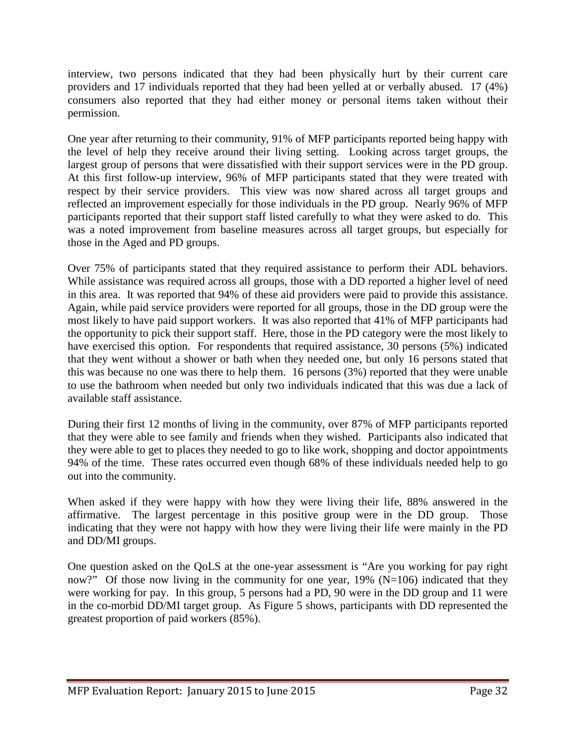interview, two persons indicated that they had been physically hurt by their current care providers and 17 individuals reported that they had been yelled at or verbally abused. 17 (4%) consumers also reported that they had either money or personal items taken without their permission.

One year after returning to their community, 91% of MFP participants reported being happy with the level of help they receive around their living setting. Looking across target groups, the largest group of persons that were dissatisfied with their support services were in the PD group. At this first follow-up interview, 96% of MFP participants stated that they were treated with respect by their service providers. This view was now shared across all target groups and reflected an improvement especially for those individuals in the PD group. Nearly 96% of MFP participants reported that their support staff listed carefully to what they were asked to do. This was a noted improvement from baseline measures across all target groups, but especially for those in the Aged and PD groups.

Over 75% of participants stated that they required assistance to perform their ADL behaviors. While assistance was required across all groups, those with a DD reported a higher level of need in this area. It was reported that 94% of these aid providers were paid to provide this assistance. Again, while paid service providers were reported for all groups, those in the DD group were the most likely to have paid support workers. It was also reported that 41% of MFP participants had the opportunity to pick their support staff. Here, those in the PD category were the most likely to have exercised this option. For respondents that required assistance, 30 persons (5%) indicated that they went without a shower or bath when they needed one, but only 16 persons stated that this was because no one was there to help them. 16 persons (3%) reported that they were unable to use the bathroom when needed but only two individuals indicated that this was due a lack of available staff assistance.

During their first 12 months of living in the community, over 87% of MFP participants reported that they were able to see family and friends when they wished. Participants also indicated that they were able to get to places they needed to go to like work, shopping and doctor appointments 94% of the time. These rates occurred even though 68% of these individuals needed help to go out into the community.

When asked if they were happy with how they were living their life, 88% answered in the affirmative. The largest percentage in this positive group were in the DD group. Those indicating that they were not happy with how they were living their life were mainly in the PD and DD/MI groups.

One question asked on the QoLS at the one-year assessment is "Are you working for pay right now?" Of those now living in the community for one year,  $19\%$  (N=106) indicated that they were working for pay. In this group, 5 persons had a PD, 90 were in the DD group and 11 were in the co-morbid DD/MI target group. As Figure 5 shows, participants with DD represented the greatest proportion of paid workers (85%).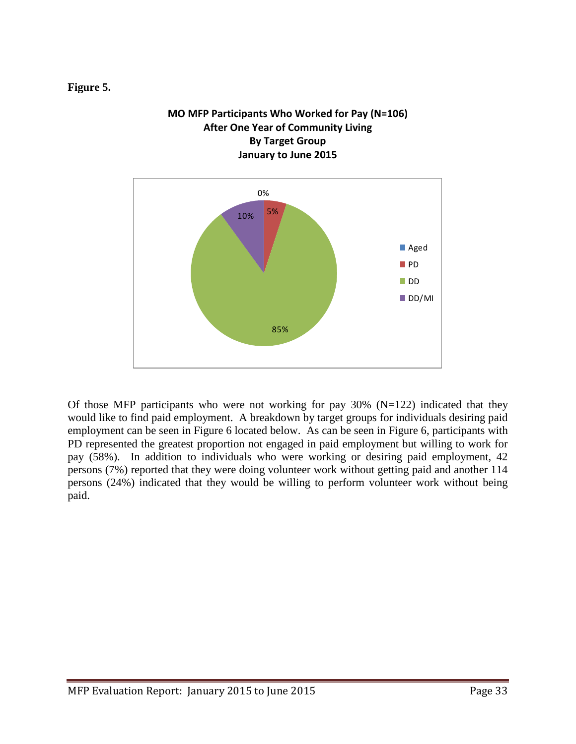## **Figure 5.**



Of those MFP participants who were not working for pay  $30\%$  (N=122) indicated that they would like to find paid employment. A breakdown by target groups for individuals desiring paid employment can be seen in Figure 6 located below. As can be seen in Figure 6, participants with PD represented the greatest proportion not engaged in paid employment but willing to work for pay (58%). In addition to individuals who were working or desiring paid employment, 42 persons (7%) reported that they were doing volunteer work without getting paid and another 114 persons (24%) indicated that they would be willing to perform volunteer work without being paid.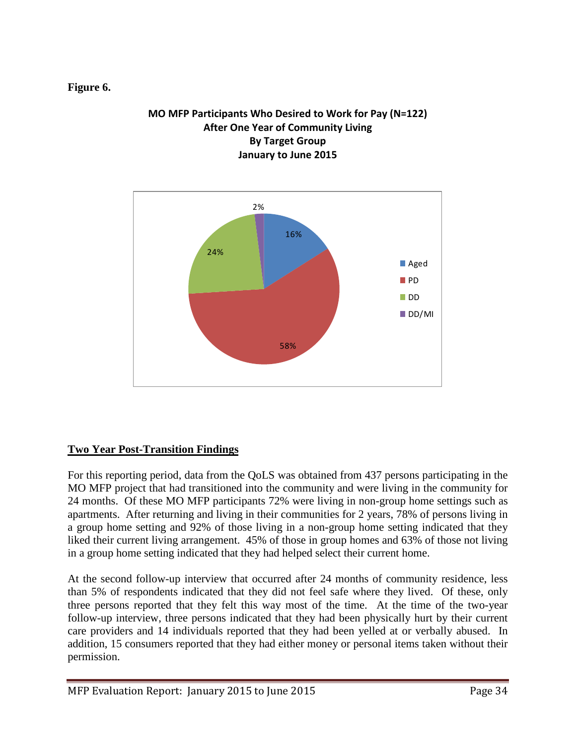## **Figure 6.**

## **MO MFP Participants Who Desired to Work for Pay (N=122) After One Year of Community Living By Target Group January to June 2015**



## **Two Year Post-Transition Findings**

For this reporting period, data from the QoLS was obtained from 437 persons participating in the MO MFP project that had transitioned into the community and were living in the community for 24 months. Of these MO MFP participants 72% were living in non-group home settings such as apartments. After returning and living in their communities for 2 years, 78% of persons living in a group home setting and 92% of those living in a non-group home setting indicated that they liked their current living arrangement. 45% of those in group homes and 63% of those not living in a group home setting indicated that they had helped select their current home.

At the second follow-up interview that occurred after 24 months of community residence, less than 5% of respondents indicated that they did not feel safe where they lived. Of these, only three persons reported that they felt this way most of the time. At the time of the two-year follow-up interview, three persons indicated that they had been physically hurt by their current care providers and 14 individuals reported that they had been yelled at or verbally abused. In addition, 15 consumers reported that they had either money or personal items taken without their permission.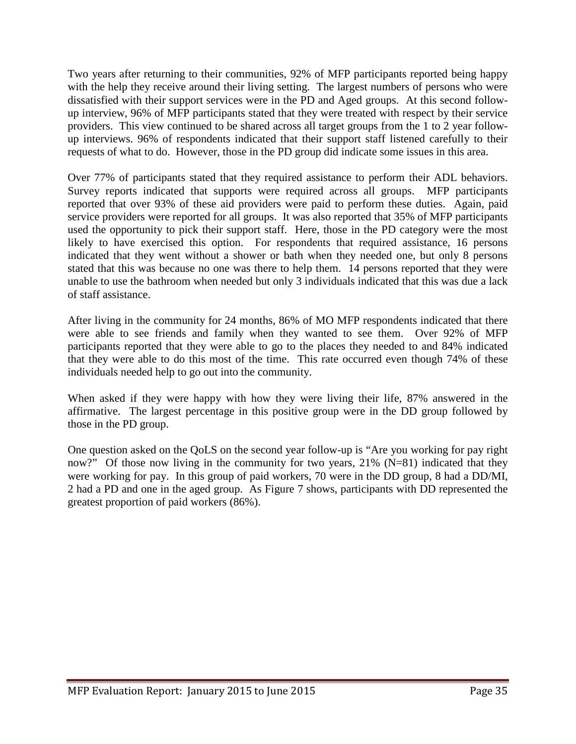Two years after returning to their communities, 92% of MFP participants reported being happy with the help they receive around their living setting. The largest numbers of persons who were dissatisfied with their support services were in the PD and Aged groups. At this second followup interview, 96% of MFP participants stated that they were treated with respect by their service providers. This view continued to be shared across all target groups from the 1 to 2 year followup interviews. 96% of respondents indicated that their support staff listened carefully to their requests of what to do. However, those in the PD group did indicate some issues in this area.

Over 77% of participants stated that they required assistance to perform their ADL behaviors. Survey reports indicated that supports were required across all groups. MFP participants reported that over 93% of these aid providers were paid to perform these duties. Again, paid service providers were reported for all groups. It was also reported that 35% of MFP participants used the opportunity to pick their support staff. Here, those in the PD category were the most likely to have exercised this option. For respondents that required assistance, 16 persons indicated that they went without a shower or bath when they needed one, but only 8 persons stated that this was because no one was there to help them. 14 persons reported that they were unable to use the bathroom when needed but only 3 individuals indicated that this was due a lack of staff assistance.

After living in the community for 24 months, 86% of MO MFP respondents indicated that there were able to see friends and family when they wanted to see them. Over 92% of MFP participants reported that they were able to go to the places they needed to and 84% indicated that they were able to do this most of the time. This rate occurred even though 74% of these individuals needed help to go out into the community.

When asked if they were happy with how they were living their life, 87% answered in the affirmative. The largest percentage in this positive group were in the DD group followed by those in the PD group.

One question asked on the QoLS on the second year follow-up is "Are you working for pay right now?" Of those now living in the community for two years, 21% (N=81) indicated that they were working for pay. In this group of paid workers, 70 were in the DD group, 8 had a DD/MI, 2 had a PD and one in the aged group. As Figure 7 shows, participants with DD represented the greatest proportion of paid workers (86%).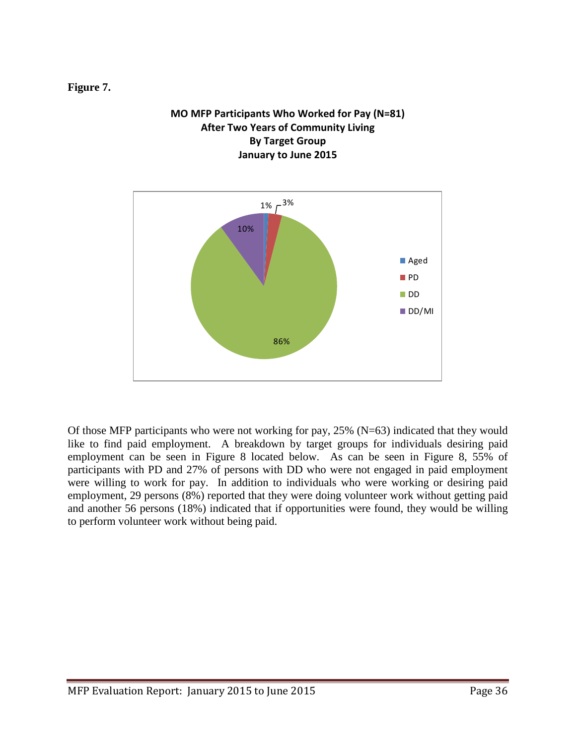**Figure 7.**

## **MO MFP Participants Who Worked for Pay (N=81) After Two Years of Community Living By Target Group January to June 2015**



Of those MFP participants who were not working for pay, 25% (N=63) indicated that they would like to find paid employment. A breakdown by target groups for individuals desiring paid employment can be seen in Figure 8 located below. As can be seen in Figure 8, 55% of participants with PD and 27% of persons with DD who were not engaged in paid employment were willing to work for pay. In addition to individuals who were working or desiring paid employment, 29 persons (8%) reported that they were doing volunteer work without getting paid and another 56 persons (18%) indicated that if opportunities were found, they would be willing to perform volunteer work without being paid.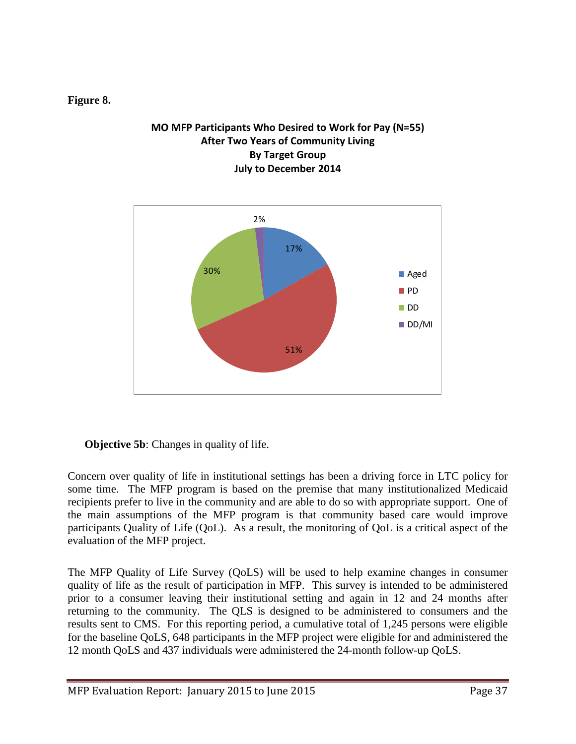## **Figure 8.**

## **MO MFP Participants Who Desired to Work for Pay (N=55) After Two Years of Community Living By Target Group July to December 2014**



## **Objective 5b:** Changes in quality of life.

Concern over quality of life in institutional settings has been a driving force in LTC policy for some time. The MFP program is based on the premise that many institutionalized Medicaid recipients prefer to live in the community and are able to do so with appropriate support. One of the main assumptions of the MFP program is that community based care would improve participants Quality of Life (QoL). As a result, the monitoring of QoL is a critical aspect of the evaluation of the MFP project.

The MFP Quality of Life Survey (QoLS) will be used to help examine changes in consumer quality of life as the result of participation in MFP. This survey is intended to be administered prior to a consumer leaving their institutional setting and again in 12 and 24 months after returning to the community. The QLS is designed to be administered to consumers and the results sent to CMS. For this reporting period, a cumulative total of 1,245 persons were eligible for the baseline QoLS, 648 participants in the MFP project were eligible for and administered the 12 month QoLS and 437 individuals were administered the 24-month follow-up QoLS.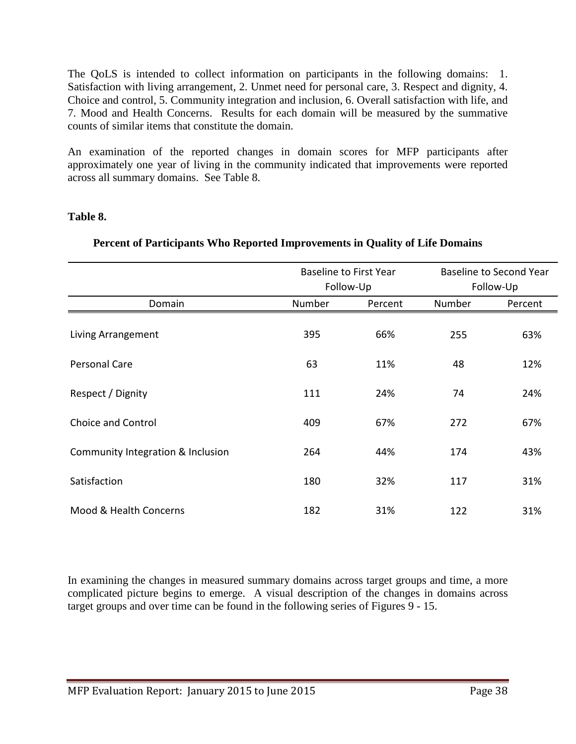The QoLS is intended to collect information on participants in the following domains: 1. Satisfaction with living arrangement, 2. Unmet need for personal care, 3. Respect and dignity, 4. Choice and control, 5. Community integration and inclusion, 6. Overall satisfaction with life, and 7. Mood and Health Concerns. Results for each domain will be measured by the summative counts of similar items that constitute the domain.

An examination of the reported changes in domain scores for MFP participants after approximately one year of living in the community indicated that improvements were reported across all summary domains. See Table 8.

## **Table 8.**

|                                   | <b>Baseline to First Year</b><br>Follow-Up |         | <b>Baseline to Second Year</b><br>Follow-Up |         |
|-----------------------------------|--------------------------------------------|---------|---------------------------------------------|---------|
| Domain                            | Number                                     | Percent | Number                                      | Percent |
| Living Arrangement                | 395                                        | 66%     | 255                                         | 63%     |
| <b>Personal Care</b>              | 63                                         | 11%     | 48                                          | 12%     |
| Respect / Dignity                 | 111                                        | 24%     | 74                                          | 24%     |
| Choice and Control                | 409                                        | 67%     | 272                                         | 67%     |
| Community Integration & Inclusion | 264                                        | 44%     | 174                                         | 43%     |
| Satisfaction                      | 180                                        | 32%     | 117                                         | 31%     |
| Mood & Health Concerns            | 182                                        | 31%     | 122                                         | 31%     |

## **Percent of Participants Who Reported Improvements in Quality of Life Domains**

In examining the changes in measured summary domains across target groups and time, a more complicated picture begins to emerge. A visual description of the changes in domains across target groups and over time can be found in the following series of Figures 9 - 15.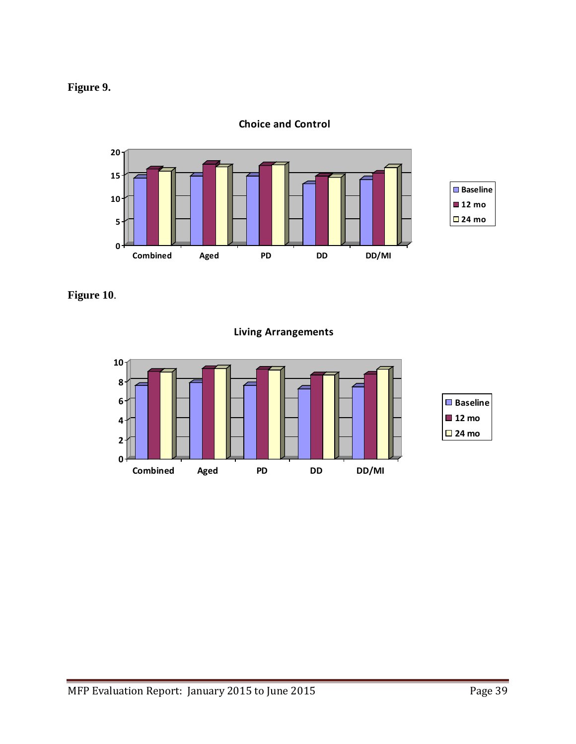



**Choice and Control**

**Figure 10**.

**Living Arrangements**

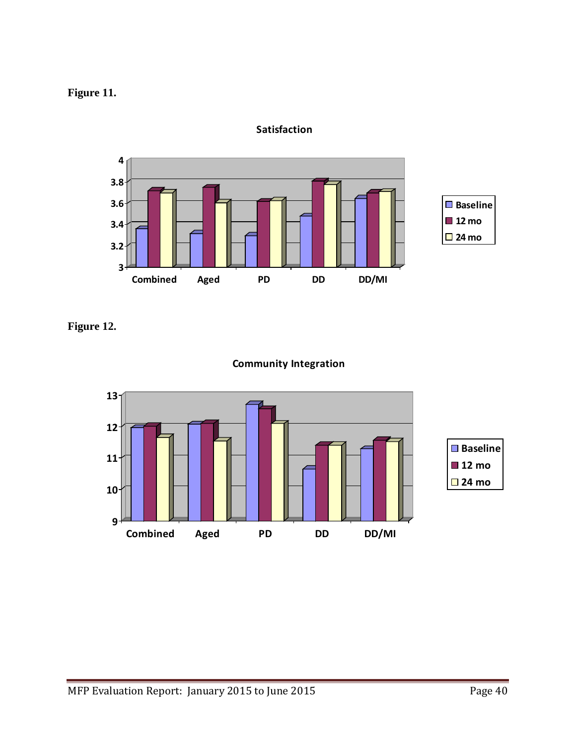



**Satisfaction**

**Figure 12.**



## **Community Integration**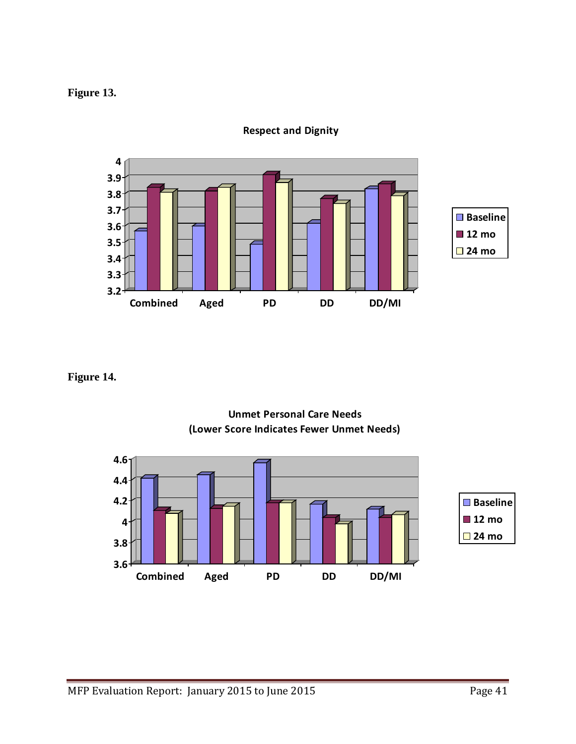## **Figure 13.**



**Respect and Dignity**

## **Figure 14.**



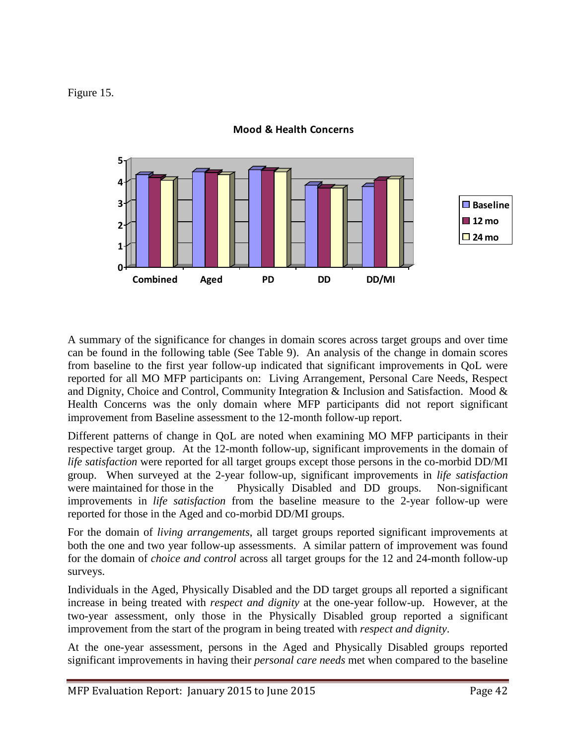Figure 15.



**Mood & Health Concerns**

A summary of the significance for changes in domain scores across target groups and over time can be found in the following table (See Table 9). An analysis of the change in domain scores from baseline to the first year follow-up indicated that significant improvements in QoL were reported for all MO MFP participants on: Living Arrangement, Personal Care Needs, Respect and Dignity, Choice and Control, Community Integration & Inclusion and Satisfaction. Mood & Health Concerns was the only domain where MFP participants did not report significant improvement from Baseline assessment to the 12-month follow-up report.

Different patterns of change in QoL are noted when examining MO MFP participants in their respective target group. At the 12-month follow-up, significant improvements in the domain of *life satisfaction* were reported for all target groups except those persons in the co-morbid DD/MI group. When surveyed at the 2-year follow-up, significant improvements in *life satisfaction* were maintained for those in the Physically Disabled and DD groups. Non-significant improvements in *life satisfaction* from the baseline measure to the 2-year follow-up were reported for those in the Aged and co-morbid DD/MI groups.

For the domain of *living arrangements*, all target groups reported significant improvements at both the one and two year follow-up assessments. A similar pattern of improvement was found for the domain of *choice and control* across all target groups for the 12 and 24-month follow-up surveys.

Individuals in the Aged, Physically Disabled and the DD target groups all reported a significant increase in being treated with *respect and dignity* at the one-year follow-up. However, at the two-year assessment, only those in the Physically Disabled group reported a significant improvement from the start of the program in being treated with *respect and dignity*.

At the one-year assessment, persons in the Aged and Physically Disabled groups reported significant improvements in having their *personal care needs* met when compared to the baseline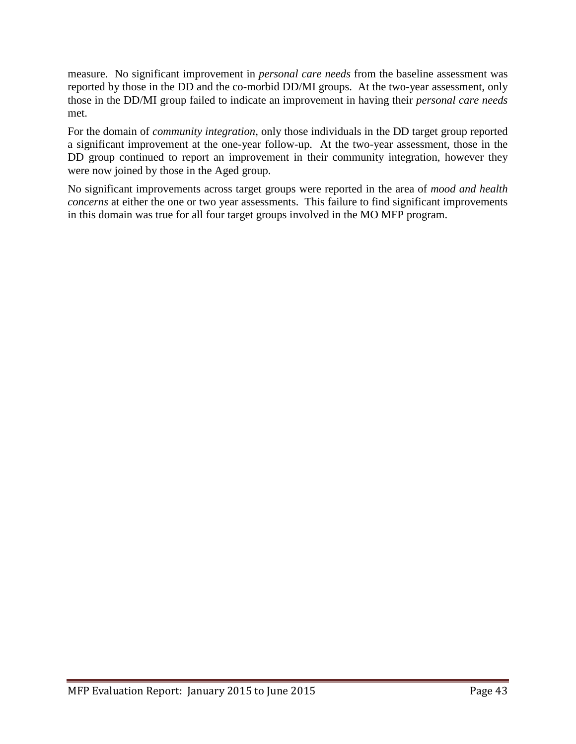measure. No significant improvement in *personal care needs* from the baseline assessment was reported by those in the DD and the co-morbid DD/MI groups. At the two-year assessment, only those in the DD/MI group failed to indicate an improvement in having their *personal care needs* met.

For the domain of *community integration*, only those individuals in the DD target group reported a significant improvement at the one-year follow-up. At the two-year assessment, those in the DD group continued to report an improvement in their community integration, however they were now joined by those in the Aged group.

No significant improvements across target groups were reported in the area of *mood and health concerns* at either the one or two year assessments. This failure to find significant improvements in this domain was true for all four target groups involved in the MO MFP program.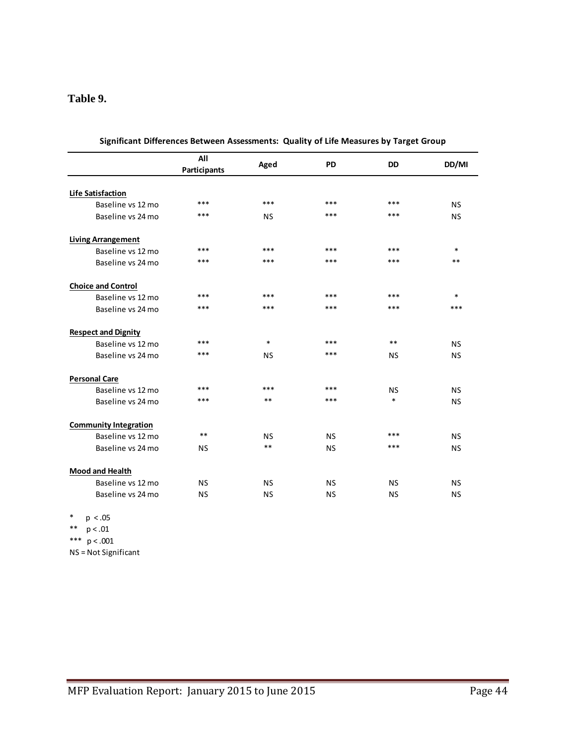## **Table 9.**

|                              | All<br>Participants | Aged      | <b>PD</b> | <b>DD</b> | DD/MI     |
|------------------------------|---------------------|-----------|-----------|-----------|-----------|
| Life Satisfaction            |                     |           |           |           |           |
| Baseline vs 12 mo            | ***                 | ***       | ***       | ***       | <b>NS</b> |
| Baseline vs 24 mo            | ***                 | <b>NS</b> | ***       | ***       | <b>NS</b> |
| <b>Living Arrangement</b>    |                     |           |           |           |           |
| Baseline vs 12 mo            | ***                 | ***       | ***       | $***$     | $\ast$    |
| Baseline vs 24 mo            | ***                 | ***       | ***       | ***       | $**$      |
| <b>Choice and Control</b>    |                     |           |           |           |           |
| Baseline vs 12 mo            | ***                 | ***       | ***       | ***       | $\ast$    |
| Baseline vs 24 mo            | $***$               | $***$     | ***       | ***       | ***       |
| <b>Respect and Dignity</b>   |                     |           |           |           |           |
| Baseline vs 12 mo            | ***                 | $\ast$    | ***       | $***$     | <b>NS</b> |
| Baseline vs 24 mo            | ***                 | <b>NS</b> | ***       | <b>NS</b> | <b>NS</b> |
| <b>Personal Care</b>         |                     |           |           |           |           |
| Baseline vs 12 mo            | ***                 | ***       | ***       | <b>NS</b> | <b>NS</b> |
| Baseline vs 24 mo            | ***                 | $**$      | ***       | $\ast$    | <b>NS</b> |
| <b>Community Integration</b> |                     |           |           |           |           |
| Baseline vs 12 mo            | $***$               | <b>NS</b> | <b>NS</b> | ***       | <b>NS</b> |
| Baseline vs 24 mo            | <b>NS</b>           | $**$      | <b>NS</b> | ***       | <b>NS</b> |
| <b>Mood and Health</b>       |                     |           |           |           |           |
| Baseline vs 12 mo            | <b>NS</b>           | <b>NS</b> | <b>NS</b> | <b>NS</b> | <b>NS</b> |
| Baseline vs 24 mo            | <b>NS</b>           | <b>NS</b> | <b>NS</b> | <b>NS</b> | <b>NS</b> |

**Significant Differences Between Assessments: Quality of Life Measures by Target Group**

 $*$  p < .05

- \*\* p < .01
- \*\*\*  $p < .001$

NS = Not Significant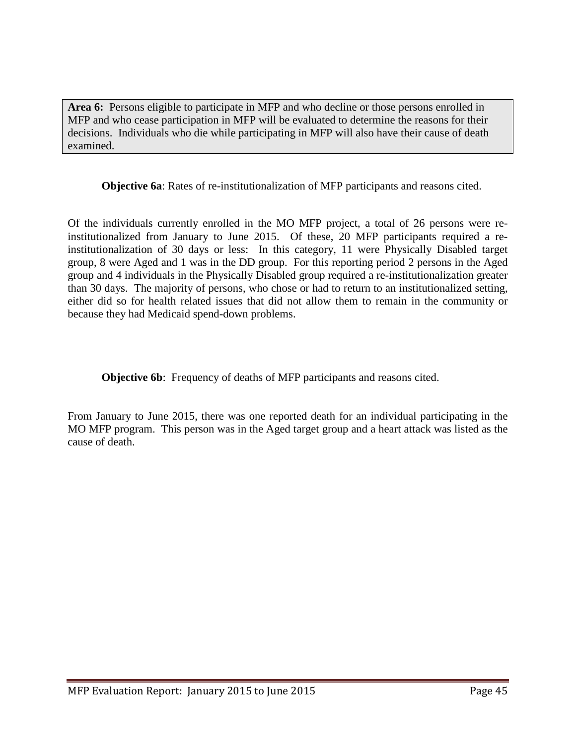**Area 6:** Persons eligible to participate in MFP and who decline or those persons enrolled in MFP and who cease participation in MFP will be evaluated to determine the reasons for their decisions. Individuals who die while participating in MFP will also have their cause of death examined.

**Objective 6a**: Rates of re-institutionalization of MFP participants and reasons cited.

Of the individuals currently enrolled in the MO MFP project, a total of 26 persons were reinstitutionalized from January to June 2015. Of these, 20 MFP participants required a reinstitutionalization of 30 days or less: In this category, 11 were Physically Disabled target group, 8 were Aged and 1 was in the DD group. For this reporting period 2 persons in the Aged group and 4 individuals in the Physically Disabled group required a re-institutionalization greater than 30 days. The majority of persons, who chose or had to return to an institutionalized setting, either did so for health related issues that did not allow them to remain in the community or because they had Medicaid spend-down problems.

**Objective 6b:** Frequency of deaths of MFP participants and reasons cited.

From January to June 2015, there was one reported death for an individual participating in the MO MFP program. This person was in the Aged target group and a heart attack was listed as the cause of death.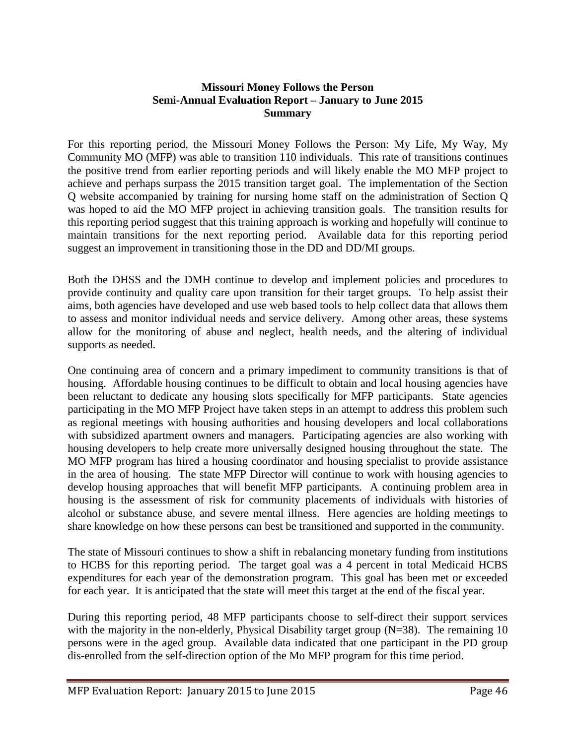## **Missouri Money Follows the Person Semi-Annual Evaluation Report – January to June 2015 Summary**

For this reporting period, the Missouri Money Follows the Person: My Life, My Way, My Community MO (MFP) was able to transition 110 individuals. This rate of transitions continues the positive trend from earlier reporting periods and will likely enable the MO MFP project to achieve and perhaps surpass the 2015 transition target goal. The implementation of the Section Q website accompanied by training for nursing home staff on the administration of Section Q was hoped to aid the MO MFP project in achieving transition goals. The transition results for this reporting period suggest that this training approach is working and hopefully will continue to maintain transitions for the next reporting period. Available data for this reporting period suggest an improvement in transitioning those in the DD and DD/MI groups.

Both the DHSS and the DMH continue to develop and implement policies and procedures to provide continuity and quality care upon transition for their target groups. To help assist their aims, both agencies have developed and use web based tools to help collect data that allows them to assess and monitor individual needs and service delivery. Among other areas, these systems allow for the monitoring of abuse and neglect, health needs, and the altering of individual supports as needed.

One continuing area of concern and a primary impediment to community transitions is that of housing. Affordable housing continues to be difficult to obtain and local housing agencies have been reluctant to dedicate any housing slots specifically for MFP participants. State agencies participating in the MO MFP Project have taken steps in an attempt to address this problem such as regional meetings with housing authorities and housing developers and local collaborations with subsidized apartment owners and managers. Participating agencies are also working with housing developers to help create more universally designed housing throughout the state. The MO MFP program has hired a housing coordinator and housing specialist to provide assistance in the area of housing. The state MFP Director will continue to work with housing agencies to develop housing approaches that will benefit MFP participants. A continuing problem area in housing is the assessment of risk for community placements of individuals with histories of alcohol or substance abuse, and severe mental illness. Here agencies are holding meetings to share knowledge on how these persons can best be transitioned and supported in the community.

The state of Missouri continues to show a shift in rebalancing monetary funding from institutions to HCBS for this reporting period. The target goal was a 4 percent in total Medicaid HCBS expenditures for each year of the demonstration program. This goal has been met or exceeded for each year. It is anticipated that the state will meet this target at the end of the fiscal year.

During this reporting period, 48 MFP participants choose to self-direct their support services with the majority in the non-elderly, Physical Disability target group (N=38). The remaining 10 persons were in the aged group. Available data indicated that one participant in the PD group dis-enrolled from the self-direction option of the Mo MFP program for this time period.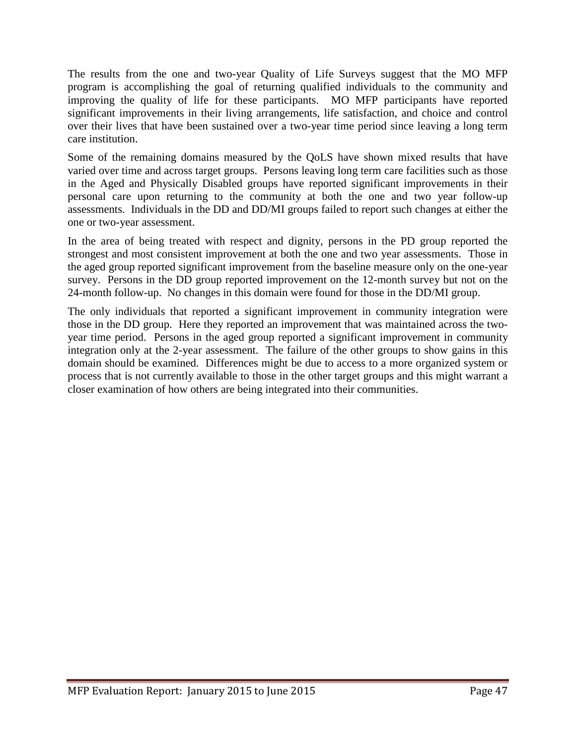The results from the one and two-year Quality of Life Surveys suggest that the MO MFP program is accomplishing the goal of returning qualified individuals to the community and improving the quality of life for these participants. MO MFP participants have reported significant improvements in their living arrangements, life satisfaction, and choice and control over their lives that have been sustained over a two-year time period since leaving a long term care institution.

Some of the remaining domains measured by the QoLS have shown mixed results that have varied over time and across target groups. Persons leaving long term care facilities such as those in the Aged and Physically Disabled groups have reported significant improvements in their personal care upon returning to the community at both the one and two year follow-up assessments. Individuals in the DD and DD/MI groups failed to report such changes at either the one or two-year assessment.

In the area of being treated with respect and dignity, persons in the PD group reported the strongest and most consistent improvement at both the one and two year assessments. Those in the aged group reported significant improvement from the baseline measure only on the one-year survey. Persons in the DD group reported improvement on the 12-month survey but not on the 24-month follow-up. No changes in this domain were found for those in the DD/MI group.

The only individuals that reported a significant improvement in community integration were those in the DD group. Here they reported an improvement that was maintained across the twoyear time period. Persons in the aged group reported a significant improvement in community integration only at the 2-year assessment. The failure of the other groups to show gains in this domain should be examined. Differences might be due to access to a more organized system or process that is not currently available to those in the other target groups and this might warrant a closer examination of how others are being integrated into their communities.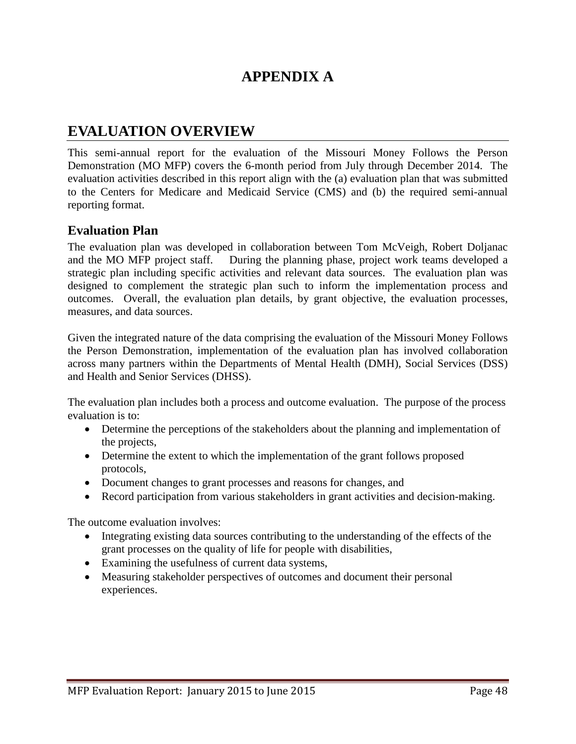## **APPENDIX A**

## **EVALUATION OVERVIEW**

This semi-annual report for the evaluation of the Missouri Money Follows the Person Demonstration (MO MFP) covers the 6-month period from July through December 2014. The evaluation activities described in this report align with the (a) evaluation plan that was submitted to the Centers for Medicare and Medicaid Service (CMS) and (b) the required semi-annual reporting format.

## **Evaluation Plan**

The evaluation plan was developed in collaboration between Tom McVeigh, Robert Doljanac and the MO MFP project staff. During the planning phase, project work teams developed a strategic plan including specific activities and relevant data sources. The evaluation plan was designed to complement the strategic plan such to inform the implementation process and outcomes. Overall, the evaluation plan details, by grant objective, the evaluation processes, measures, and data sources.

Given the integrated nature of the data comprising the evaluation of the Missouri Money Follows the Person Demonstration, implementation of the evaluation plan has involved collaboration across many partners within the Departments of Mental Health (DMH), Social Services (DSS) and Health and Senior Services (DHSS).

The evaluation plan includes both a process and outcome evaluation. The purpose of the process evaluation is to:

- Determine the perceptions of the stakeholders about the planning and implementation of the projects,
- Determine the extent to which the implementation of the grant follows proposed protocols,
- Document changes to grant processes and reasons for changes, and
- Record participation from various stakeholders in grant activities and decision-making.

The outcome evaluation involves:

- Integrating existing data sources contributing to the understanding of the effects of the grant processes on the quality of life for people with disabilities,
- Examining the usefulness of current data systems,
- Measuring stakeholder perspectives of outcomes and document their personal experiences.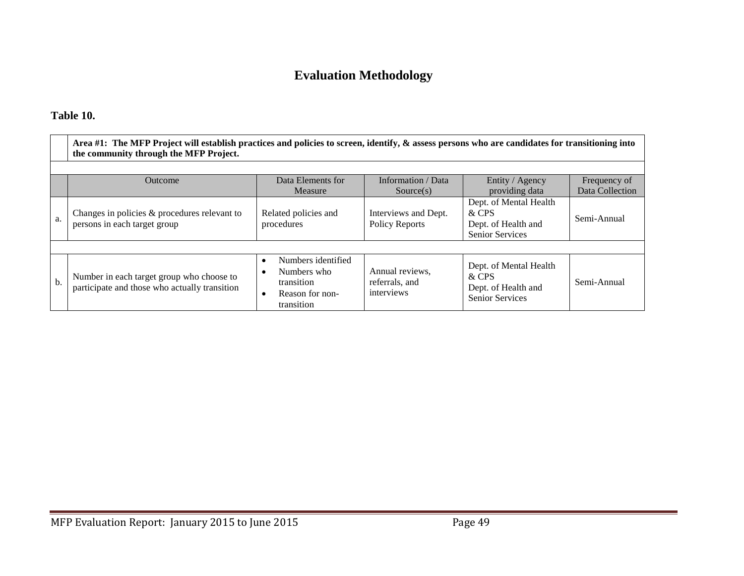## **Evaluation Methodology**

## **Table 10.**

|     | Area #1: The MFP Project will establish practices and policies to screen, identify, & assess persons who are candidates for transitioning into<br>the community through the MFP Project. |                                                                                               |                                                 |                                                                                  |                                 |  |  |  |  |
|-----|------------------------------------------------------------------------------------------------------------------------------------------------------------------------------------------|-----------------------------------------------------------------------------------------------|-------------------------------------------------|----------------------------------------------------------------------------------|---------------------------------|--|--|--|--|
|     |                                                                                                                                                                                          |                                                                                               |                                                 |                                                                                  |                                 |  |  |  |  |
|     | Outcome                                                                                                                                                                                  | Data Elements for<br>Measure                                                                  | Information / Data<br>Source(s)                 | Entity / Agency<br>providing data                                                | Frequency of<br>Data Collection |  |  |  |  |
| a.  | Changes in policies & procedures relevant to<br>persons in each target group                                                                                                             | Related policies and<br>procedures                                                            | Interviews and Dept.<br><b>Policy Reports</b>   | Dept. of Mental Health<br>& CPS<br>Dept. of Health and<br>Senior Services        | Semi-Annual                     |  |  |  |  |
|     |                                                                                                                                                                                          |                                                                                               |                                                 |                                                                                  |                                 |  |  |  |  |
| $b$ | Number in each target group who choose to<br>participate and those who actually transition                                                                                               | Numbers identified<br>$\bullet$<br>Numbers who<br>transition<br>Reason for non-<br>transition | Annual reviews,<br>referrals, and<br>interviews | Dept. of Mental Health<br>& CPS<br>Dept. of Health and<br><b>Senior Services</b> | Semi-Annual                     |  |  |  |  |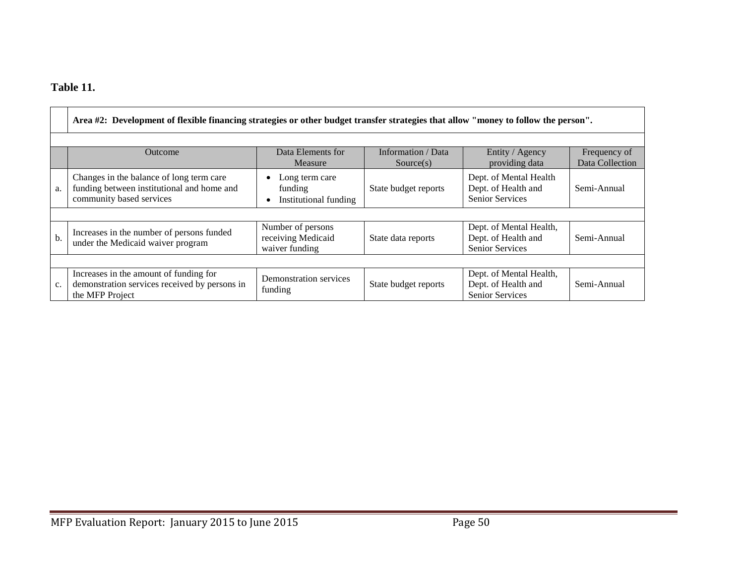## **Table 11.**

|     | Area #2: Development of flexible financing strategies or other budget transfer strategies that allow "money to follow the person". |                                                           |                                 |                                                                          |                                 |  |  |  |
|-----|------------------------------------------------------------------------------------------------------------------------------------|-----------------------------------------------------------|---------------------------------|--------------------------------------------------------------------------|---------------------------------|--|--|--|
|     | Outcome                                                                                                                            | Data Elements for<br>Measure                              | Information / Data<br>Source(s) | Entity / Agency<br>providing data                                        | Frequency of<br>Data Collection |  |  |  |
| a.  | Changes in the balance of long term care<br>funding between institutional and home and<br>community based services                 | Long term care<br>funding<br>Institutional funding        | State budget reports            | Dept. of Mental Health<br>Dept. of Health and<br><b>Senior Services</b>  | Semi-Annual                     |  |  |  |
|     |                                                                                                                                    |                                                           |                                 |                                                                          |                                 |  |  |  |
| $b$ | Increases in the number of persons funded<br>under the Medicaid waiver program                                                     | Number of persons<br>receiving Medicaid<br>waiver funding | State data reports              | Dept. of Mental Health,<br>Dept. of Health and<br>Senior Services        | Semi-Annual                     |  |  |  |
|     |                                                                                                                                    |                                                           |                                 |                                                                          |                                 |  |  |  |
| c.  | Increases in the amount of funding for<br>demonstration services received by persons in<br>the MFP Project                         | Demonstration services<br>funding                         | State budget reports            | Dept. of Mental Health,<br>Dept. of Health and<br><b>Senior Services</b> | Semi-Annual                     |  |  |  |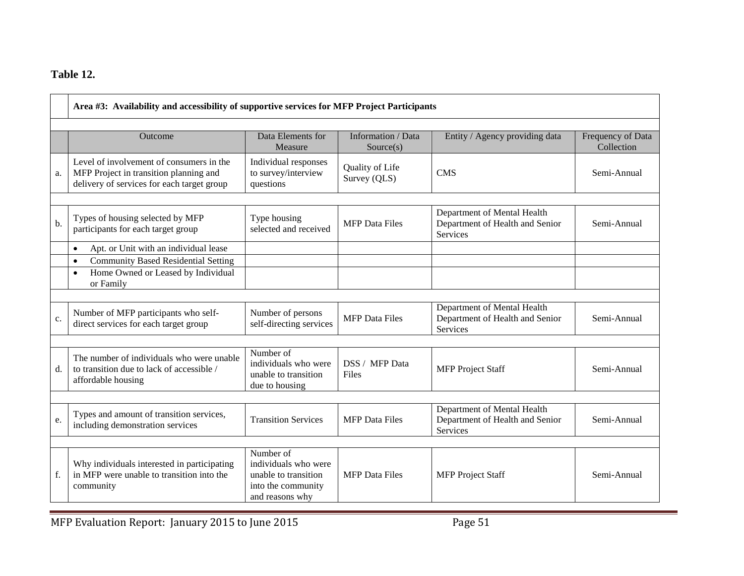## **Table 12.**

|    | Area #3: Availability and accessibility of supportive services for MFP Project Participants                                      |                                                                                                    |                                 |                                                                                   |                                 |  |  |
|----|----------------------------------------------------------------------------------------------------------------------------------|----------------------------------------------------------------------------------------------------|---------------------------------|-----------------------------------------------------------------------------------|---------------------------------|--|--|
|    | <b>Outcome</b>                                                                                                                   | Data Elements for<br>Measure                                                                       | Information / Data<br>Source(s) | Entity / Agency providing data                                                    | Frequency of Data<br>Collection |  |  |
| a. | Level of involvement of consumers in the<br>MFP Project in transition planning and<br>delivery of services for each target group | Individual responses<br>to survey/interview<br>questions                                           | Quality of Life<br>Survey (QLS) | <b>CMS</b>                                                                        | Semi-Annual                     |  |  |
| b. | Types of housing selected by MFP<br>participants for each target group                                                           | Type housing<br>selected and received                                                              | <b>MFP</b> Data Files           | Department of Mental Health<br>Department of Health and Senior<br>Services        | Semi-Annual                     |  |  |
|    | Apt. or Unit with an individual lease<br>$\bullet$                                                                               |                                                                                                    |                                 |                                                                                   |                                 |  |  |
|    | <b>Community Based Residential Setting</b><br>$\bullet$<br>Home Owned or Leased by Individual<br>$\bullet$<br>or Family          |                                                                                                    |                                 |                                                                                   |                                 |  |  |
| c. | Number of MFP participants who self-<br>direct services for each target group                                                    | Number of persons<br>self-directing services                                                       | <b>MFP</b> Data Files           | Department of Mental Health<br>Department of Health and Senior<br><b>Services</b> | Semi-Annual                     |  |  |
| d. | The number of individuals who were unable<br>to transition due to lack of accessible /<br>affordable housing                     | Number of<br>individuals who were<br>unable to transition<br>due to housing                        | DSS / MFP Data<br>Files         | <b>MFP</b> Project Staff                                                          | Semi-Annual                     |  |  |
| e. | Types and amount of transition services,<br>including demonstration services                                                     | <b>Transition Services</b>                                                                         | <b>MFP</b> Data Files           | Department of Mental Health<br>Department of Health and Senior<br>Services        | Semi-Annual                     |  |  |
| f. | Why individuals interested in participating<br>in MFP were unable to transition into the<br>community                            | Number of<br>individuals who were<br>unable to transition<br>into the community<br>and reasons why | <b>MFP</b> Data Files           | <b>MFP</b> Project Staff                                                          | Semi-Annual                     |  |  |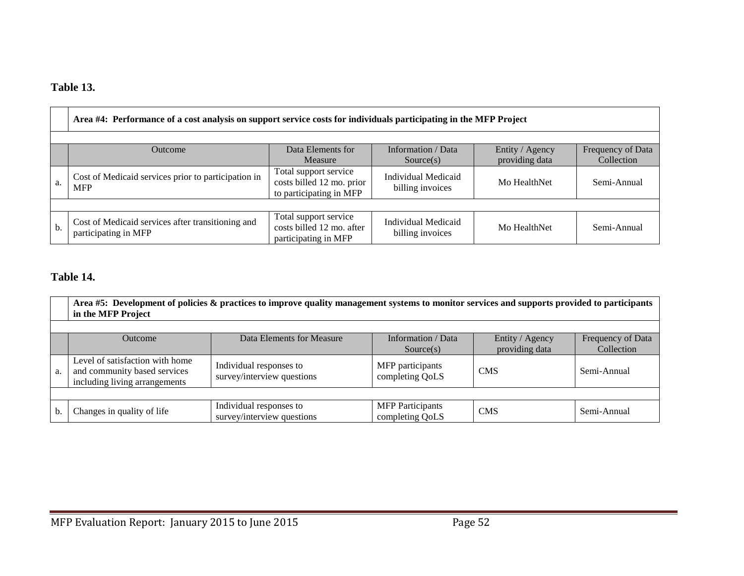## **Table 13.**

|     | Area #4: Performance of a cost analysis on support service costs for individuals participating in the MFP Project                                         |                                                                               |                                                |              |             |  |  |  |
|-----|-----------------------------------------------------------------------------------------------------------------------------------------------------------|-------------------------------------------------------------------------------|------------------------------------------------|--------------|-------------|--|--|--|
|     | Data Elements for<br>Information / Data<br>Entity / Agency<br>Frequency of Data<br><b>Outcome</b><br>providing data<br>Collection<br>Measure<br>Source(s) |                                                                               |                                                |              |             |  |  |  |
| a.  | Cost of Medicaid services prior to participation in<br><b>MFP</b>                                                                                         | Total support service<br>costs billed 12 mo. prior<br>to participating in MFP | <b>Individual Medicaid</b><br>billing invoices | Mo HealthNet | Semi-Annual |  |  |  |
|     |                                                                                                                                                           |                                                                               |                                                |              |             |  |  |  |
| $b$ | Cost of Medicaid services after transitioning and<br>participating in MFP                                                                                 | Total support service<br>costs billed 12 mo. after<br>participating in MFP    | Individual Medicaid<br>billing invoices        | Mo HealthNet | Semi-Annual |  |  |  |

## **Table 14.**

|    | Area #5: Development of policies & practices to improve quality management systems to monitor services and supports provided to participants<br>in the MFP Project |                                                       |                                            |            |             |  |  |  |  |
|----|--------------------------------------------------------------------------------------------------------------------------------------------------------------------|-------------------------------------------------------|--------------------------------------------|------------|-------------|--|--|--|--|
|    | Data Elements for Measure<br>Information / Data<br>Entity / Agency<br>Frequency of Data<br>Outcome<br>providing data<br>Collection<br>Source(s)                    |                                                       |                                            |            |             |  |  |  |  |
| a. | Level of satisfaction with home<br>and community based services<br>including living arrangements                                                                   | Individual responses to<br>survey/interview questions | MFP participants<br>completing QoLS        | <b>CMS</b> | Semi-Annual |  |  |  |  |
|    |                                                                                                                                                                    |                                                       |                                            |            |             |  |  |  |  |
| b. | Changes in quality of life                                                                                                                                         | Individual responses to<br>survey/interview questions | <b>MFP</b> Participants<br>completing QoLS | <b>CMS</b> | Semi-Annual |  |  |  |  |